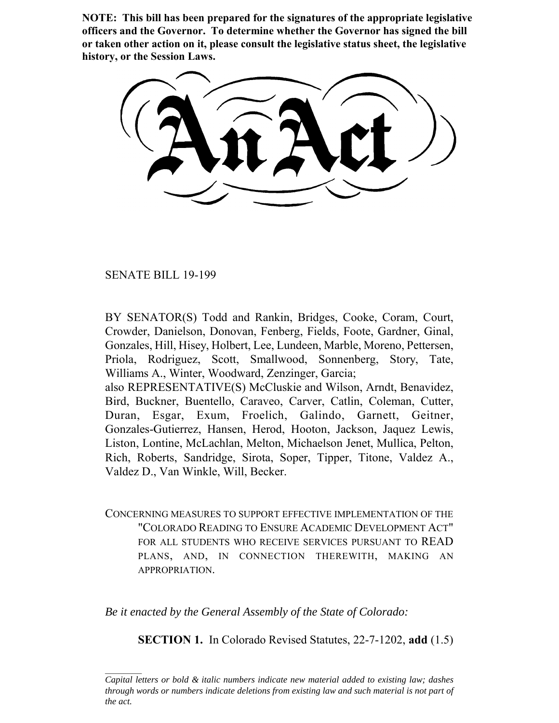**NOTE: This bill has been prepared for the signatures of the appropriate legislative officers and the Governor. To determine whether the Governor has signed the bill or taken other action on it, please consult the legislative status sheet, the legislative history, or the Session Laws.**

SENATE BILL 19-199

BY SENATOR(S) Todd and Rankin, Bridges, Cooke, Coram, Court, Crowder, Danielson, Donovan, Fenberg, Fields, Foote, Gardner, Ginal, Gonzales, Hill, Hisey, Holbert, Lee, Lundeen, Marble, Moreno, Pettersen, Priola, Rodriguez, Scott, Smallwood, Sonnenberg, Story, Tate, Williams A., Winter, Woodward, Zenzinger, Garcia;

also REPRESENTATIVE(S) McCluskie and Wilson, Arndt, Benavidez, Bird, Buckner, Buentello, Caraveo, Carver, Catlin, Coleman, Cutter, Duran, Esgar, Exum, Froelich, Galindo, Garnett, Geitner, Gonzales-Gutierrez, Hansen, Herod, Hooton, Jackson, Jaquez Lewis, Liston, Lontine, McLachlan, Melton, Michaelson Jenet, Mullica, Pelton, Rich, Roberts, Sandridge, Sirota, Soper, Tipper, Titone, Valdez A., Valdez D., Van Winkle, Will, Becker.

CONCERNING MEASURES TO SUPPORT EFFECTIVE IMPLEMENTATION OF THE "COLORADO READING TO ENSURE ACADEMIC DEVELOPMENT ACT" FOR ALL STUDENTS WHO RECEIVE SERVICES PURSUANT TO READ PLANS, AND, IN CONNECTION THEREWITH, MAKING AN APPROPRIATION.

*Be it enacted by the General Assembly of the State of Colorado:*

**SECTION 1.** In Colorado Revised Statutes, 22-7-1202, **add** (1.5)

*Capital letters or bold & italic numbers indicate new material added to existing law; dashes through words or numbers indicate deletions from existing law and such material is not part of the act.*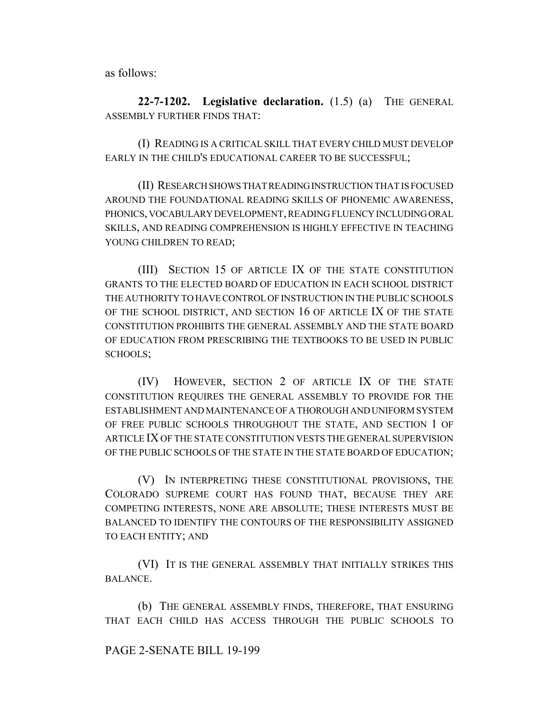as follows:

**22-7-1202. Legislative declaration.** (1.5) (a) THE GENERAL ASSEMBLY FURTHER FINDS THAT:

(I) READING IS A CRITICAL SKILL THAT EVERY CHILD MUST DEVELOP EARLY IN THE CHILD'S EDUCATIONAL CAREER TO BE SUCCESSFUL;

(II) RESEARCH SHOWS THAT READING INSTRUCTION THAT IS FOCUSED AROUND THE FOUNDATIONAL READING SKILLS OF PHONEMIC AWARENESS, PHONICS, VOCABULARY DEVELOPMENT, READING FLUENCY INCLUDING ORAL SKILLS, AND READING COMPREHENSION IS HIGHLY EFFECTIVE IN TEACHING YOUNG CHILDREN TO READ;

(III) SECTION 15 OF ARTICLE IX OF THE STATE CONSTITUTION GRANTS TO THE ELECTED BOARD OF EDUCATION IN EACH SCHOOL DISTRICT THE AUTHORITY TO HAVE CONTROL OF INSTRUCTION IN THE PUBLIC SCHOOLS OF THE SCHOOL DISTRICT, AND SECTION 16 OF ARTICLE IX OF THE STATE CONSTITUTION PROHIBITS THE GENERAL ASSEMBLY AND THE STATE BOARD OF EDUCATION FROM PRESCRIBING THE TEXTBOOKS TO BE USED IN PUBLIC SCHOOLS;

(IV) HOWEVER, SECTION 2 OF ARTICLE IX OF THE STATE CONSTITUTION REQUIRES THE GENERAL ASSEMBLY TO PROVIDE FOR THE ESTABLISHMENT AND MAINTENANCE OF A THOROUGH AND UNIFORM SYSTEM OF FREE PUBLIC SCHOOLS THROUGHOUT THE STATE, AND SECTION 1 OF ARTICLE IX OF THE STATE CONSTITUTION VESTS THE GENERAL SUPERVISION OF THE PUBLIC SCHOOLS OF THE STATE IN THE STATE BOARD OF EDUCATION;

(V) IN INTERPRETING THESE CONSTITUTIONAL PROVISIONS, THE COLORADO SUPREME COURT HAS FOUND THAT, BECAUSE THEY ARE COMPETING INTERESTS, NONE ARE ABSOLUTE; THESE INTERESTS MUST BE BALANCED TO IDENTIFY THE CONTOURS OF THE RESPONSIBILITY ASSIGNED TO EACH ENTITY; AND

(VI) IT IS THE GENERAL ASSEMBLY THAT INITIALLY STRIKES THIS BALANCE.

(b) THE GENERAL ASSEMBLY FINDS, THEREFORE, THAT ENSURING THAT EACH CHILD HAS ACCESS THROUGH THE PUBLIC SCHOOLS TO

### PAGE 2-SENATE BILL 19-199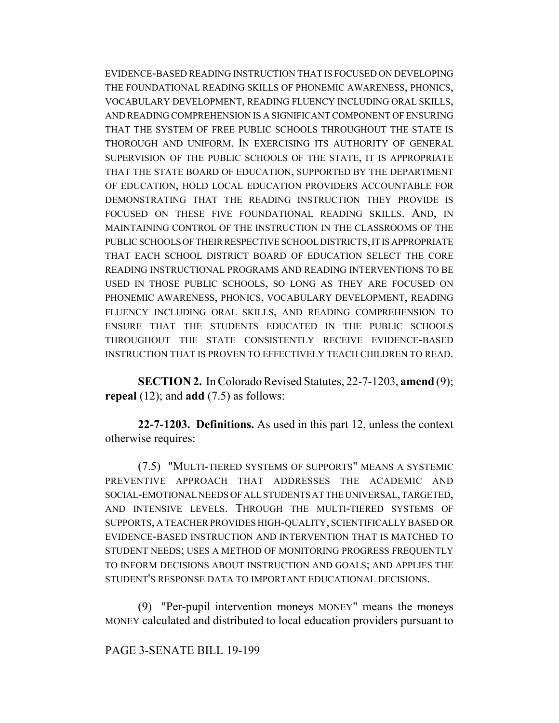EVIDENCE-BASED READING INSTRUCTION THAT IS FOCUSED ON DEVELOPING THE FOUNDATIONAL READING SKILLS OF PHONEMIC AWARENESS, PHONICS, VOCABULARY DEVELOPMENT, READING FLUENCY INCLUDING ORAL SKILLS, AND READING COMPREHENSION IS A SIGNIFICANT COMPONENT OF ENSURING THAT THE SYSTEM OF FREE PUBLIC SCHOOLS THROUGHOUT THE STATE IS THOROUGH AND UNIFORM. IN EXERCISING ITS AUTHORITY OF GENERAL SUPERVISION OF THE PUBLIC SCHOOLS OF THE STATE, IT IS APPROPRIATE THAT THE STATE BOARD OF EDUCATION, SUPPORTED BY THE DEPARTMENT OF EDUCATION, HOLD LOCAL EDUCATION PROVIDERS ACCOUNTABLE FOR DEMONSTRATING THAT THE READING INSTRUCTION THEY PROVIDE IS FOCUSED ON THESE FIVE FOUNDATIONAL READING SKILLS. AND, IN MAINTAINING CONTROL OF THE INSTRUCTION IN THE CLASSROOMS OF THE PUBLIC SCHOOLS OF THEIR RESPECTIVE SCHOOL DISTRICTS, IT IS APPROPRIATE THAT EACH SCHOOL DISTRICT BOARD OF EDUCATION SELECT THE CORE READING INSTRUCTIONAL PROGRAMS AND READING INTERVENTIONS TO BE USED IN THOSE PUBLIC SCHOOLS, SO LONG AS THEY ARE FOCUSED ON PHONEMIC AWARENESS, PHONICS, VOCABULARY DEVELOPMENT, READING FLUENCY INCLUDING ORAL SKILLS, AND READING COMPREHENSION TO ENSURE THAT THE STUDENTS EDUCATED IN THE PUBLIC SCHOOLS THROUGHOUT THE STATE CONSISTENTLY RECEIVE EVIDENCE-BASED INSTRUCTION THAT IS PROVEN TO EFFECTIVELY TEACH CHILDREN TO READ.

**SECTION 2.** In Colorado Revised Statutes, 22-7-1203, **amend** (9); **repeal** (12); and **add** (7.5) as follows:

**22-7-1203. Definitions.** As used in this part 12, unless the context otherwise requires:

(7.5) "MULTI-TIERED SYSTEMS OF SUPPORTS" MEANS A SYSTEMIC PREVENTIVE APPROACH THAT ADDRESSES THE ACADEMIC AND SOCIAL-EMOTIONAL NEEDS OF ALL STUDENTS AT THE UNIVERSAL, TARGETED, AND INTENSIVE LEVELS. THROUGH THE MULTI-TIERED SYSTEMS OF SUPPORTS, A TEACHER PROVIDES HIGH-QUALITY, SCIENTIFICALLY BASED OR EVIDENCE-BASED INSTRUCTION AND INTERVENTION THAT IS MATCHED TO STUDENT NEEDS; USES A METHOD OF MONITORING PROGRESS FREQUENTLY TO INFORM DECISIONS ABOUT INSTRUCTION AND GOALS; AND APPLIES THE STUDENT'S RESPONSE DATA TO IMPORTANT EDUCATIONAL DECISIONS.

(9) "Per-pupil intervention moneys MONEY" means the moneys MONEY calculated and distributed to local education providers pursuant to

### PAGE 3-SENATE BILL 19-199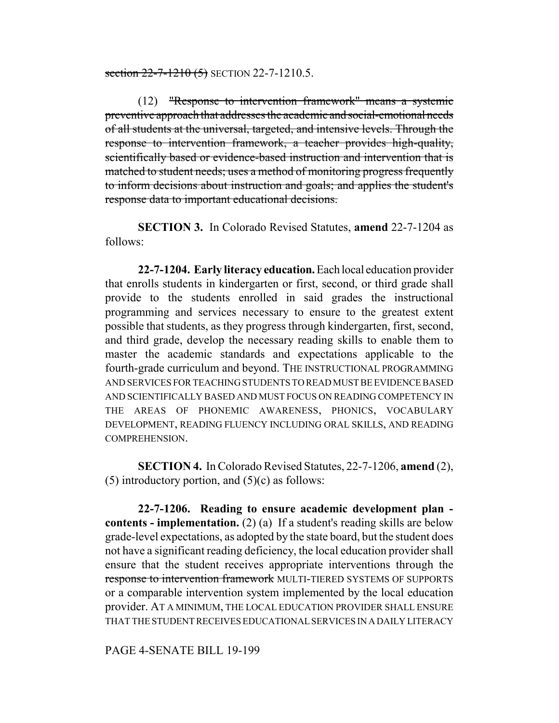section  $22 - 7 - 1210$  (5) SECTION 22-7-1210.5.

(12) "Response to intervention framework" means a systemic preventive approach that addresses the academic and social-emotional needs of all students at the universal, targeted, and intensive levels. Through the response to intervention framework, a teacher provides high-quality, scientifically based or evidence-based instruction and intervention that is matched to student needs; uses a method of monitoring progress frequently to inform decisions about instruction and goals; and applies the student's response data to important educational decisions.

**SECTION 3.** In Colorado Revised Statutes, **amend** 22-7-1204 as follows:

**22-7-1204. Early literacy education.** Each local education provider that enrolls students in kindergarten or first, second, or third grade shall provide to the students enrolled in said grades the instructional programming and services necessary to ensure to the greatest extent possible that students, as they progress through kindergarten, first, second, and third grade, develop the necessary reading skills to enable them to master the academic standards and expectations applicable to the fourth-grade curriculum and beyond. THE INSTRUCTIONAL PROGRAMMING AND SERVICES FOR TEACHING STUDENTS TO READ MUST BE EVIDENCE BASED AND SCIENTIFICALLY BASED AND MUST FOCUS ON READING COMPETENCY IN THE AREAS OF PHONEMIC AWARENESS, PHONICS, VOCABULARY DEVELOPMENT, READING FLUENCY INCLUDING ORAL SKILLS, AND READING COMPREHENSION.

**SECTION 4.** In Colorado Revised Statutes, 22-7-1206, **amend** (2), (5) introductory portion, and  $(5)(c)$  as follows:

**22-7-1206. Reading to ensure academic development plan contents - implementation.** (2) (a) If a student's reading skills are below grade-level expectations, as adopted by the state board, but the student does not have a significant reading deficiency, the local education provider shall ensure that the student receives appropriate interventions through the response to intervention framework MULTI-TIERED SYSTEMS OF SUPPORTS or a comparable intervention system implemented by the local education provider. AT A MINIMUM, THE LOCAL EDUCATION PROVIDER SHALL ENSURE THAT THE STUDENT RECEIVES EDUCATIONAL SERVICES IN A DAILY LITERACY

PAGE 4-SENATE BILL 19-199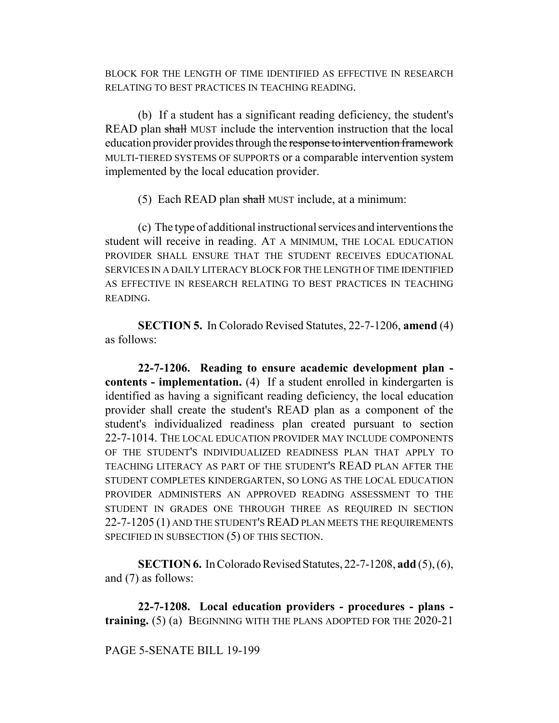BLOCK FOR THE LENGTH OF TIME IDENTIFIED AS EFFECTIVE IN RESEARCH RELATING TO BEST PRACTICES IN TEACHING READING.

(b) If a student has a significant reading deficiency, the student's READ plan shall MUST include the intervention instruction that the local education provider provides through the response to intervention framework MULTI-TIERED SYSTEMS OF SUPPORTS or a comparable intervention system implemented by the local education provider.

(5) Each READ plan shall MUST include, at a minimum:

(c) The type of additional instructional services and interventions the student will receive in reading. AT A MINIMUM, THE LOCAL EDUCATION PROVIDER SHALL ENSURE THAT THE STUDENT RECEIVES EDUCATIONAL SERVICES IN A DAILY LITERACY BLOCK FOR THE LENGTH OF TIME IDENTIFIED AS EFFECTIVE IN RESEARCH RELATING TO BEST PRACTICES IN TEACHING READING.

**SECTION 5.** In Colorado Revised Statutes, 22-7-1206, **amend** (4) as follows:

**22-7-1206. Reading to ensure academic development plan contents - implementation.** (4) If a student enrolled in kindergarten is identified as having a significant reading deficiency, the local education provider shall create the student's READ plan as a component of the student's individualized readiness plan created pursuant to section 22-7-1014. THE LOCAL EDUCATION PROVIDER MAY INCLUDE COMPONENTS OF THE STUDENT'S INDIVIDUALIZED READINESS PLAN THAT APPLY TO TEACHING LITERACY AS PART OF THE STUDENT'S READ PLAN AFTER THE STUDENT COMPLETES KINDERGARTEN, SO LONG AS THE LOCAL EDUCATION PROVIDER ADMINISTERS AN APPROVED READING ASSESSMENT TO THE STUDENT IN GRADES ONE THROUGH THREE AS REQUIRED IN SECTION 22-7-1205 (1) AND THE STUDENT'S READ PLAN MEETS THE REQUIREMENTS SPECIFIED IN SUBSECTION (5) OF THIS SECTION.

**SECTION 6.** In Colorado Revised Statutes, 22-7-1208, **add** (5), (6), and (7) as follows:

**22-7-1208. Local education providers - procedures - plans training.** (5) (a) BEGINNING WITH THE PLANS ADOPTED FOR THE 2020-21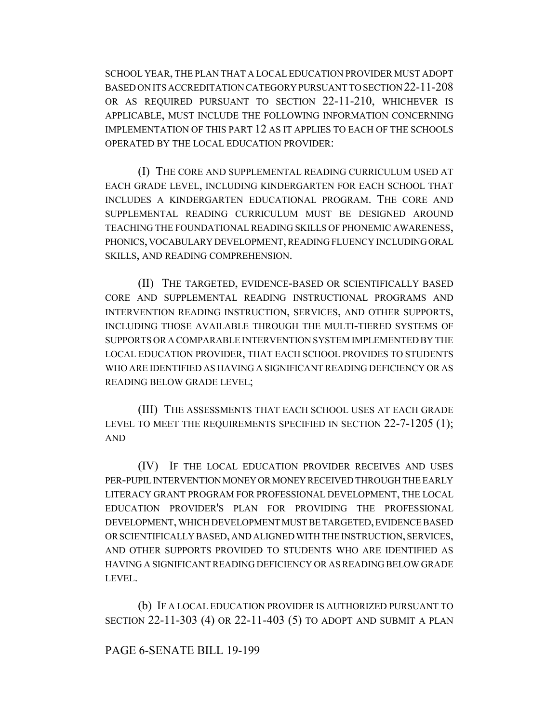SCHOOL YEAR, THE PLAN THAT A LOCAL EDUCATION PROVIDER MUST ADOPT BASED ON ITS ACCREDITATION CATEGORY PURSUANT TO SECTION 22-11-208 OR AS REQUIRED PURSUANT TO SECTION 22-11-210, WHICHEVER IS APPLICABLE, MUST INCLUDE THE FOLLOWING INFORMATION CONCERNING IMPLEMENTATION OF THIS PART 12 AS IT APPLIES TO EACH OF THE SCHOOLS OPERATED BY THE LOCAL EDUCATION PROVIDER:

(I) THE CORE AND SUPPLEMENTAL READING CURRICULUM USED AT EACH GRADE LEVEL, INCLUDING KINDERGARTEN FOR EACH SCHOOL THAT INCLUDES A KINDERGARTEN EDUCATIONAL PROGRAM. THE CORE AND SUPPLEMENTAL READING CURRICULUM MUST BE DESIGNED AROUND TEACHING THE FOUNDATIONAL READING SKILLS OF PHONEMIC AWARENESS, PHONICS, VOCABULARY DEVELOPMENT, READING FLUENCY INCLUDING ORAL SKILLS, AND READING COMPREHENSION.

(II) THE TARGETED, EVIDENCE-BASED OR SCIENTIFICALLY BASED CORE AND SUPPLEMENTAL READING INSTRUCTIONAL PROGRAMS AND INTERVENTION READING INSTRUCTION, SERVICES, AND OTHER SUPPORTS, INCLUDING THOSE AVAILABLE THROUGH THE MULTI-TIERED SYSTEMS OF SUPPORTS OR A COMPARABLE INTERVENTION SYSTEM IMPLEMENTED BY THE LOCAL EDUCATION PROVIDER, THAT EACH SCHOOL PROVIDES TO STUDENTS WHO ARE IDENTIFIED AS HAVING A SIGNIFICANT READING DEFICIENCY OR AS READING BELOW GRADE LEVEL;

(III) THE ASSESSMENTS THAT EACH SCHOOL USES AT EACH GRADE LEVEL TO MEET THE REQUIREMENTS SPECIFIED IN SECTION 22-7-1205 (1); AND

(IV) IF THE LOCAL EDUCATION PROVIDER RECEIVES AND USES PER-PUPIL INTERVENTION MONEY OR MONEY RECEIVED THROUGH THE EARLY LITERACY GRANT PROGRAM FOR PROFESSIONAL DEVELOPMENT, THE LOCAL EDUCATION PROVIDER'S PLAN FOR PROVIDING THE PROFESSIONAL DEVELOPMENT, WHICH DEVELOPMENT MUST BE TARGETED, EVIDENCE BASED OR SCIENTIFICALLY BASED, AND ALIGNED WITH THE INSTRUCTION, SERVICES, AND OTHER SUPPORTS PROVIDED TO STUDENTS WHO ARE IDENTIFIED AS HAVING A SIGNIFICANT READING DEFICIENCY OR AS READING BELOW GRADE LEVEL.

(b) IF A LOCAL EDUCATION PROVIDER IS AUTHORIZED PURSUANT TO SECTION 22-11-303 (4) OR 22-11-403 (5) TO ADOPT AND SUBMIT A PLAN

### PAGE 6-SENATE BILL 19-199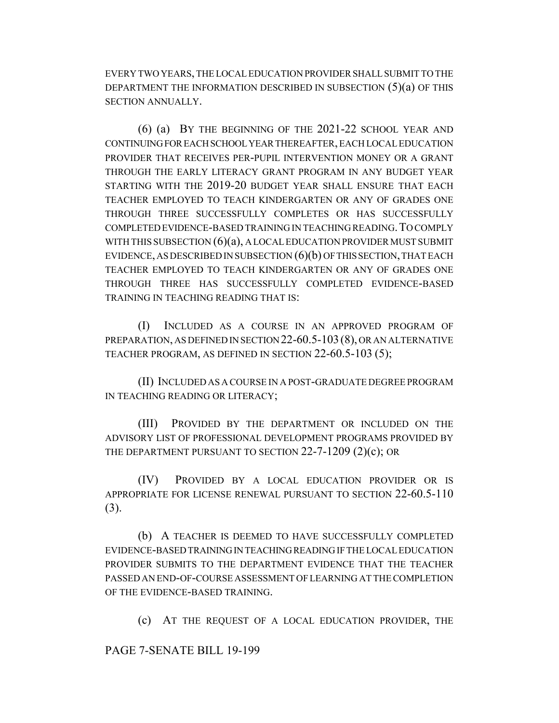EVERY TWO YEARS, THE LOCAL EDUCATION PROVIDER SHALL SUBMIT TO THE DEPARTMENT THE INFORMATION DESCRIBED IN SUBSECTION (5)(a) OF THIS SECTION ANNUALLY.

(6) (a) BY THE BEGINNING OF THE 2021-22 SCHOOL YEAR AND CONTINUING FOR EACH SCHOOL YEAR THEREAFTER, EACH LOCAL EDUCATION PROVIDER THAT RECEIVES PER-PUPIL INTERVENTION MONEY OR A GRANT THROUGH THE EARLY LITERACY GRANT PROGRAM IN ANY BUDGET YEAR STARTING WITH THE 2019-20 BUDGET YEAR SHALL ENSURE THAT EACH TEACHER EMPLOYED TO TEACH KINDERGARTEN OR ANY OF GRADES ONE THROUGH THREE SUCCESSFULLY COMPLETES OR HAS SUCCESSFULLY COMPLETED EVIDENCE-BASED TRAINING IN TEACHING READING.TO COMPLY WITH THIS SUBSECTION  $(6)(a)$ , A LOCAL EDUCATION PROVIDER MUST SUBMIT EVIDENCE, AS DESCRIBED IN SUBSECTION  $(6)(b)$  OF THIS SECTION, THAT EACH TEACHER EMPLOYED TO TEACH KINDERGARTEN OR ANY OF GRADES ONE THROUGH THREE HAS SUCCESSFULLY COMPLETED EVIDENCE-BASED TRAINING IN TEACHING READING THAT IS:

(I) INCLUDED AS A COURSE IN AN APPROVED PROGRAM OF PREPARATION, AS DEFINED IN SECTION 22-60.5-103(8), OR AN ALTERNATIVE TEACHER PROGRAM, AS DEFINED IN SECTION 22-60.5-103 (5);

(II) INCLUDED AS A COURSE IN A POST-GRADUATE DEGREE PROGRAM IN TEACHING READING OR LITERACY;

(III) PROVIDED BY THE DEPARTMENT OR INCLUDED ON THE ADVISORY LIST OF PROFESSIONAL DEVELOPMENT PROGRAMS PROVIDED BY THE DEPARTMENT PURSUANT TO SECTION 22-7-1209 (2)(c); OR

(IV) PROVIDED BY A LOCAL EDUCATION PROVIDER OR IS APPROPRIATE FOR LICENSE RENEWAL PURSUANT TO SECTION 22-60.5-110 (3).

(b) A TEACHER IS DEEMED TO HAVE SUCCESSFULLY COMPLETED EVIDENCE-BASED TRAINING IN TEACHING READING IF THE LOCAL EDUCATION PROVIDER SUBMITS TO THE DEPARTMENT EVIDENCE THAT THE TEACHER PASSED AN END-OF-COURSE ASSESSMENT OF LEARNING AT THE COMPLETION OF THE EVIDENCE-BASED TRAINING.

(c) AT THE REQUEST OF A LOCAL EDUCATION PROVIDER, THE

PAGE 7-SENATE BILL 19-199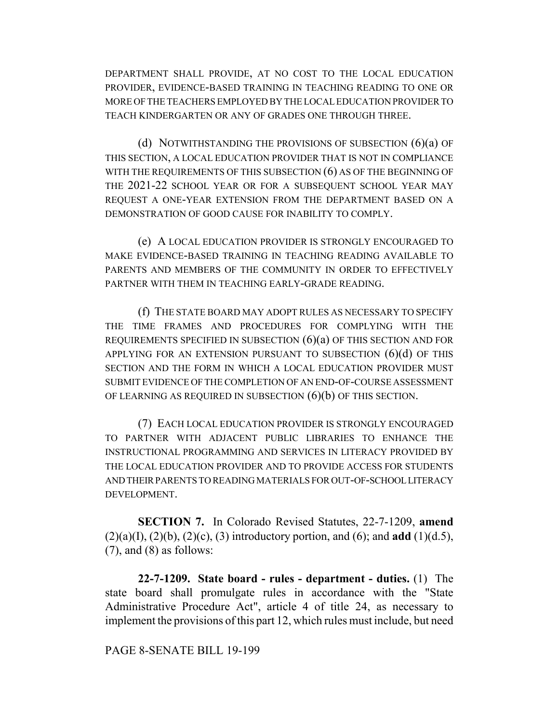DEPARTMENT SHALL PROVIDE, AT NO COST TO THE LOCAL EDUCATION PROVIDER, EVIDENCE-BASED TRAINING IN TEACHING READING TO ONE OR MORE OF THE TEACHERS EMPLOYED BY THE LOCAL EDUCATION PROVIDER TO TEACH KINDERGARTEN OR ANY OF GRADES ONE THROUGH THREE.

(d) NOTWITHSTANDING THE PROVISIONS OF SUBSECTION  $(6)(a)$  OF THIS SECTION, A LOCAL EDUCATION PROVIDER THAT IS NOT IN COMPLIANCE WITH THE REQUIREMENTS OF THIS SUBSECTION (6) AS OF THE BEGINNING OF THE 2021-22 SCHOOL YEAR OR FOR A SUBSEQUENT SCHOOL YEAR MAY REQUEST A ONE-YEAR EXTENSION FROM THE DEPARTMENT BASED ON A DEMONSTRATION OF GOOD CAUSE FOR INABILITY TO COMPLY.

(e) A LOCAL EDUCATION PROVIDER IS STRONGLY ENCOURAGED TO MAKE EVIDENCE-BASED TRAINING IN TEACHING READING AVAILABLE TO PARENTS AND MEMBERS OF THE COMMUNITY IN ORDER TO EFFECTIVELY PARTNER WITH THEM IN TEACHING EARLY-GRADE READING.

(f) THE STATE BOARD MAY ADOPT RULES AS NECESSARY TO SPECIFY THE TIME FRAMES AND PROCEDURES FOR COMPLYING WITH THE REQUIREMENTS SPECIFIED IN SUBSECTION  $(6)(a)$  OF THIS SECTION AND FOR APPLYING FOR AN EXTENSION PURSUANT TO SUBSECTION  $(6)(d)$  OF THIS SECTION AND THE FORM IN WHICH A LOCAL EDUCATION PROVIDER MUST SUBMIT EVIDENCE OF THE COMPLETION OF AN END-OF-COURSE ASSESSMENT OF LEARNING AS REQUIRED IN SUBSECTION (6)(b) OF THIS SECTION.

(7) EACH LOCAL EDUCATION PROVIDER IS STRONGLY ENCOURAGED TO PARTNER WITH ADJACENT PUBLIC LIBRARIES TO ENHANCE THE INSTRUCTIONAL PROGRAMMING AND SERVICES IN LITERACY PROVIDED BY THE LOCAL EDUCATION PROVIDER AND TO PROVIDE ACCESS FOR STUDENTS AND THEIR PARENTS TO READING MATERIALS FOR OUT-OF-SCHOOL LITERACY DEVELOPMENT.

**SECTION 7.** In Colorado Revised Statutes, 22-7-1209, **amend** (2)(a)(I), (2)(b), (2)(c), (3) introductory portion, and (6); and **add** (1)(d.5),  $(7)$ , and  $(8)$  as follows:

**22-7-1209. State board - rules - department - duties.** (1) The state board shall promulgate rules in accordance with the "State Administrative Procedure Act", article 4 of title 24, as necessary to implement the provisions of this part 12, which rules must include, but need

PAGE 8-SENATE BILL 19-199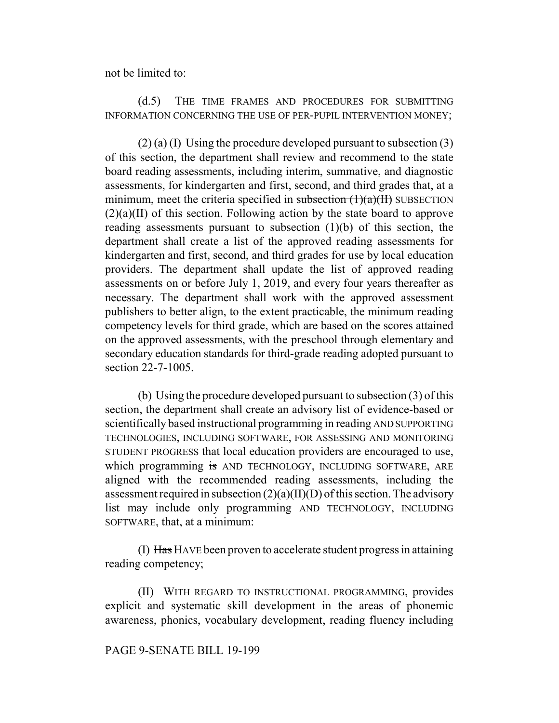not be limited to:

# (d.5) THE TIME FRAMES AND PROCEDURES FOR SUBMITTING INFORMATION CONCERNING THE USE OF PER-PUPIL INTERVENTION MONEY;

 $(2)$  (a) (I) Using the procedure developed pursuant to subsection (3) of this section, the department shall review and recommend to the state board reading assessments, including interim, summative, and diagnostic assessments, for kindergarten and first, second, and third grades that, at a minimum, meet the criteria specified in subsection  $(1)(a)(H)$  SUBSECTION  $(2)(a)(II)$  of this section. Following action by the state board to approve reading assessments pursuant to subsection (1)(b) of this section, the department shall create a list of the approved reading assessments for kindergarten and first, second, and third grades for use by local education providers. The department shall update the list of approved reading assessments on or before July 1, 2019, and every four years thereafter as necessary. The department shall work with the approved assessment publishers to better align, to the extent practicable, the minimum reading competency levels for third grade, which are based on the scores attained on the approved assessments, with the preschool through elementary and secondary education standards for third-grade reading adopted pursuant to section 22-7-1005.

(b) Using the procedure developed pursuant to subsection (3) of this section, the department shall create an advisory list of evidence-based or scientifically based instructional programming in reading AND SUPPORTING TECHNOLOGIES, INCLUDING SOFTWARE, FOR ASSESSING AND MONITORING STUDENT PROGRESS that local education providers are encouraged to use, which programming is AND TECHNOLOGY, INCLUDING SOFTWARE, ARE aligned with the recommended reading assessments, including the assessment required in subsection  $(2)(a)(II)(D)$  of this section. The advisory list may include only programming AND TECHNOLOGY, INCLUDING SOFTWARE, that, at a minimum:

(I) Has HAVE been proven to accelerate student progress in attaining reading competency;

(II) WITH REGARD TO INSTRUCTIONAL PROGRAMMING, provides explicit and systematic skill development in the areas of phonemic awareness, phonics, vocabulary development, reading fluency including

#### PAGE 9-SENATE BILL 19-199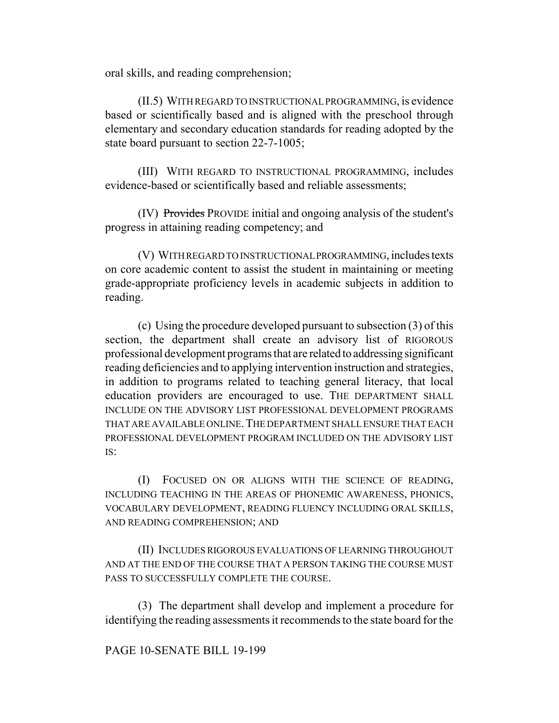oral skills, and reading comprehension;

(II.5) WITH REGARD TO INSTRUCTIONAL PROGRAMMING, is evidence based or scientifically based and is aligned with the preschool through elementary and secondary education standards for reading adopted by the state board pursuant to section 22-7-1005;

(III) WITH REGARD TO INSTRUCTIONAL PROGRAMMING, includes evidence-based or scientifically based and reliable assessments;

(IV) Provides PROVIDE initial and ongoing analysis of the student's progress in attaining reading competency; and

(V) WITH REGARD TO INSTRUCTIONAL PROGRAMMING, includes texts on core academic content to assist the student in maintaining or meeting grade-appropriate proficiency levels in academic subjects in addition to reading.

(c) Using the procedure developed pursuant to subsection (3) of this section, the department shall create an advisory list of RIGOROUS professional development programs that are related to addressing significant reading deficiencies and to applying intervention instruction and strategies, in addition to programs related to teaching general literacy, that local education providers are encouraged to use. THE DEPARTMENT SHALL INCLUDE ON THE ADVISORY LIST PROFESSIONAL DEVELOPMENT PROGRAMS THAT ARE AVAILABLE ONLINE. THE DEPARTMENT SHALL ENSURE THAT EACH PROFESSIONAL DEVELOPMENT PROGRAM INCLUDED ON THE ADVISORY LIST  $IS^{\dagger}$ 

(I) FOCUSED ON OR ALIGNS WITH THE SCIENCE OF READING, INCLUDING TEACHING IN THE AREAS OF PHONEMIC AWARENESS, PHONICS, VOCABULARY DEVELOPMENT, READING FLUENCY INCLUDING ORAL SKILLS, AND READING COMPREHENSION; AND

(II) INCLUDES RIGOROUS EVALUATIONS OF LEARNING THROUGHOUT AND AT THE END OF THE COURSE THAT A PERSON TAKING THE COURSE MUST PASS TO SUCCESSFULLY COMPLETE THE COURSE.

(3) The department shall develop and implement a procedure for identifying the reading assessments it recommends to the state board for the

# PAGE 10-SENATE BILL 19-199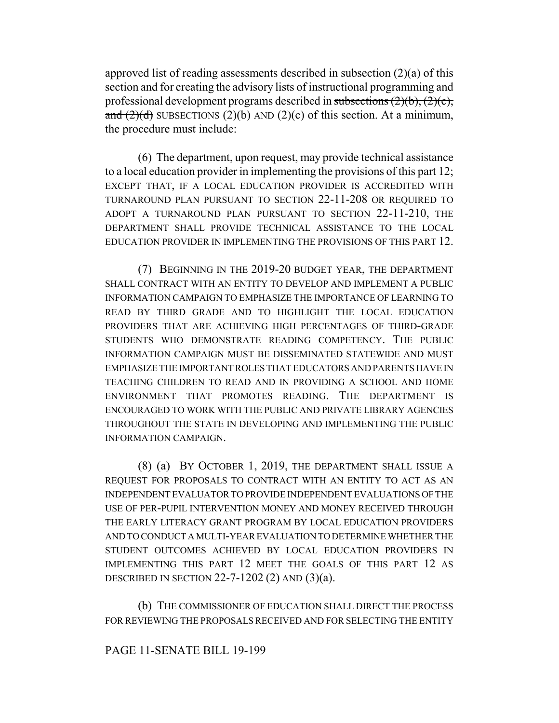approved list of reading assessments described in subsection (2)(a) of this section and for creating the advisory lists of instructional programming and professional development programs described in subsections  $(2)(b)$ ,  $(2)(c)$ , and  $(2)(d)$  SUBSECTIONS  $(2)(b)$  AND  $(2)(c)$  of this section. At a minimum, the procedure must include:

(6) The department, upon request, may provide technical assistance to a local education provider in implementing the provisions of this part 12; EXCEPT THAT, IF A LOCAL EDUCATION PROVIDER IS ACCREDITED WITH TURNAROUND PLAN PURSUANT TO SECTION 22-11-208 OR REQUIRED TO ADOPT A TURNAROUND PLAN PURSUANT TO SECTION 22-11-210, THE DEPARTMENT SHALL PROVIDE TECHNICAL ASSISTANCE TO THE LOCAL EDUCATION PROVIDER IN IMPLEMENTING THE PROVISIONS OF THIS PART 12.

(7) BEGINNING IN THE 2019-20 BUDGET YEAR, THE DEPARTMENT SHALL CONTRACT WITH AN ENTITY TO DEVELOP AND IMPLEMENT A PUBLIC INFORMATION CAMPAIGN TO EMPHASIZE THE IMPORTANCE OF LEARNING TO READ BY THIRD GRADE AND TO HIGHLIGHT THE LOCAL EDUCATION PROVIDERS THAT ARE ACHIEVING HIGH PERCENTAGES OF THIRD-GRADE STUDENTS WHO DEMONSTRATE READING COMPETENCY. THE PUBLIC INFORMATION CAMPAIGN MUST BE DISSEMINATED STATEWIDE AND MUST EMPHASIZE THE IMPORTANT ROLES THAT EDUCATORS AND PARENTS HAVE IN TEACHING CHILDREN TO READ AND IN PROVIDING A SCHOOL AND HOME ENVIRONMENT THAT PROMOTES READING. THE DEPARTMENT IS ENCOURAGED TO WORK WITH THE PUBLIC AND PRIVATE LIBRARY AGENCIES THROUGHOUT THE STATE IN DEVELOPING AND IMPLEMENTING THE PUBLIC INFORMATION CAMPAIGN.

(8) (a) BY OCTOBER 1, 2019, THE DEPARTMENT SHALL ISSUE A REQUEST FOR PROPOSALS TO CONTRACT WITH AN ENTITY TO ACT AS AN INDEPENDENT EVALUATOR TO PROVIDE INDEPENDENT EVALUATIONS OF THE USE OF PER-PUPIL INTERVENTION MONEY AND MONEY RECEIVED THROUGH THE EARLY LITERACY GRANT PROGRAM BY LOCAL EDUCATION PROVIDERS AND TO CONDUCT A MULTI-YEAR EVALUATION TO DETERMINE WHETHER THE STUDENT OUTCOMES ACHIEVED BY LOCAL EDUCATION PROVIDERS IN IMPLEMENTING THIS PART 12 MEET THE GOALS OF THIS PART 12 AS DESCRIBED IN SECTION 22-7-1202 (2) AND (3)(a).

(b) THE COMMISSIONER OF EDUCATION SHALL DIRECT THE PROCESS FOR REVIEWING THE PROPOSALS RECEIVED AND FOR SELECTING THE ENTITY

PAGE 11-SENATE BILL 19-199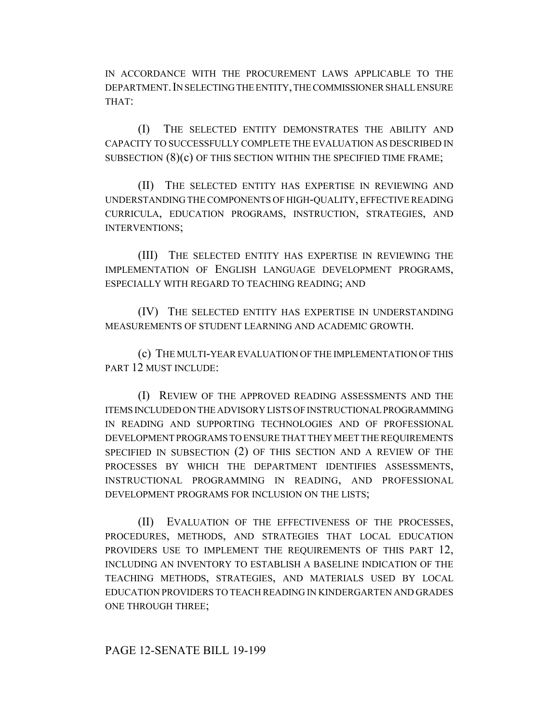IN ACCORDANCE WITH THE PROCUREMENT LAWS APPLICABLE TO THE DEPARTMENT.IN SELECTING THE ENTITY, THE COMMISSIONER SHALL ENSURE THAT:

(I) THE SELECTED ENTITY DEMONSTRATES THE ABILITY AND CAPACITY TO SUCCESSFULLY COMPLETE THE EVALUATION AS DESCRIBED IN SUBSECTION (8)(c) OF THIS SECTION WITHIN THE SPECIFIED TIME FRAME;

(II) THE SELECTED ENTITY HAS EXPERTISE IN REVIEWING AND UNDERSTANDING THE COMPONENTS OF HIGH-QUALITY, EFFECTIVE READING CURRICULA, EDUCATION PROGRAMS, INSTRUCTION, STRATEGIES, AND INTERVENTIONS;

(III) THE SELECTED ENTITY HAS EXPERTISE IN REVIEWING THE IMPLEMENTATION OF ENGLISH LANGUAGE DEVELOPMENT PROGRAMS, ESPECIALLY WITH REGARD TO TEACHING READING; AND

(IV) THE SELECTED ENTITY HAS EXPERTISE IN UNDERSTANDING MEASUREMENTS OF STUDENT LEARNING AND ACADEMIC GROWTH.

(c) THE MULTI-YEAR EVALUATION OF THE IMPLEMENTATION OF THIS PART 12 MUST INCLUDE:

(I) REVIEW OF THE APPROVED READING ASSESSMENTS AND THE ITEMS INCLUDED ON THE ADVISORY LISTS OF INSTRUCTIONAL PROGRAMMING IN READING AND SUPPORTING TECHNOLOGIES AND OF PROFESSIONAL DEVELOPMENT PROGRAMS TO ENSURE THAT THEY MEET THE REQUIREMENTS SPECIFIED IN SUBSECTION (2) OF THIS SECTION AND A REVIEW OF THE PROCESSES BY WHICH THE DEPARTMENT IDENTIFIES ASSESSMENTS, INSTRUCTIONAL PROGRAMMING IN READING, AND PROFESSIONAL DEVELOPMENT PROGRAMS FOR INCLUSION ON THE LISTS;

(II) EVALUATION OF THE EFFECTIVENESS OF THE PROCESSES, PROCEDURES, METHODS, AND STRATEGIES THAT LOCAL EDUCATION PROVIDERS USE TO IMPLEMENT THE REQUIREMENTS OF THIS PART 12, INCLUDING AN INVENTORY TO ESTABLISH A BASELINE INDICATION OF THE TEACHING METHODS, STRATEGIES, AND MATERIALS USED BY LOCAL EDUCATION PROVIDERS TO TEACH READING IN KINDERGARTEN AND GRADES ONE THROUGH THREE;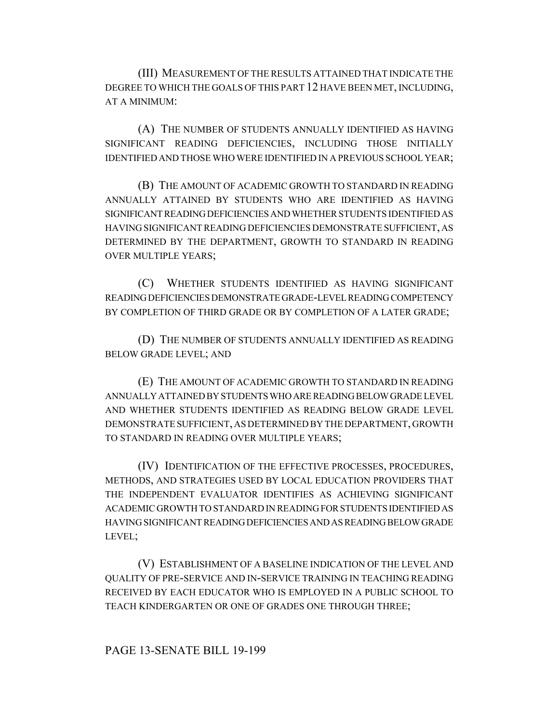(III) MEASUREMENT OF THE RESULTS ATTAINED THAT INDICATE THE DEGREE TO WHICH THE GOALS OF THIS PART 12 HAVE BEEN MET, INCLUDING, AT A MINIMUM:

(A) THE NUMBER OF STUDENTS ANNUALLY IDENTIFIED AS HAVING SIGNIFICANT READING DEFICIENCIES, INCLUDING THOSE INITIALLY IDENTIFIED AND THOSE WHO WERE IDENTIFIED IN A PREVIOUS SCHOOL YEAR;

(B) THE AMOUNT OF ACADEMIC GROWTH TO STANDARD IN READING ANNUALLY ATTAINED BY STUDENTS WHO ARE IDENTIFIED AS HAVING SIGNIFICANT READING DEFICIENCIES AND WHETHER STUDENTS IDENTIFIED AS HAVING SIGNIFICANT READING DEFICIENCIES DEMONSTRATE SUFFICIENT, AS DETERMINED BY THE DEPARTMENT, GROWTH TO STANDARD IN READING OVER MULTIPLE YEARS;

(C) WHETHER STUDENTS IDENTIFIED AS HAVING SIGNIFICANT READING DEFICIENCIES DEMONSTRATE GRADE-LEVEL READING COMPETENCY BY COMPLETION OF THIRD GRADE OR BY COMPLETION OF A LATER GRADE;

(D) THE NUMBER OF STUDENTS ANNUALLY IDENTIFIED AS READING BELOW GRADE LEVEL; AND

(E) THE AMOUNT OF ACADEMIC GROWTH TO STANDARD IN READING ANNUALLY ATTAINED BY STUDENTS WHO ARE READING BELOW GRADE LEVEL AND WHETHER STUDENTS IDENTIFIED AS READING BELOW GRADE LEVEL DEMONSTRATE SUFFICIENT, AS DETERMINED BY THE DEPARTMENT, GROWTH TO STANDARD IN READING OVER MULTIPLE YEARS;

(IV) IDENTIFICATION OF THE EFFECTIVE PROCESSES, PROCEDURES, METHODS, AND STRATEGIES USED BY LOCAL EDUCATION PROVIDERS THAT THE INDEPENDENT EVALUATOR IDENTIFIES AS ACHIEVING SIGNIFICANT ACADEMIC GROWTH TO STANDARD IN READING FOR STUDENTS IDENTIFIED AS HAVING SIGNIFICANT READING DEFICIENCIES AND AS READING BELOW GRADE LEVEL;

(V) ESTABLISHMENT OF A BASELINE INDICATION OF THE LEVEL AND QUALITY OF PRE-SERVICE AND IN-SERVICE TRAINING IN TEACHING READING RECEIVED BY EACH EDUCATOR WHO IS EMPLOYED IN A PUBLIC SCHOOL TO TEACH KINDERGARTEN OR ONE OF GRADES ONE THROUGH THREE;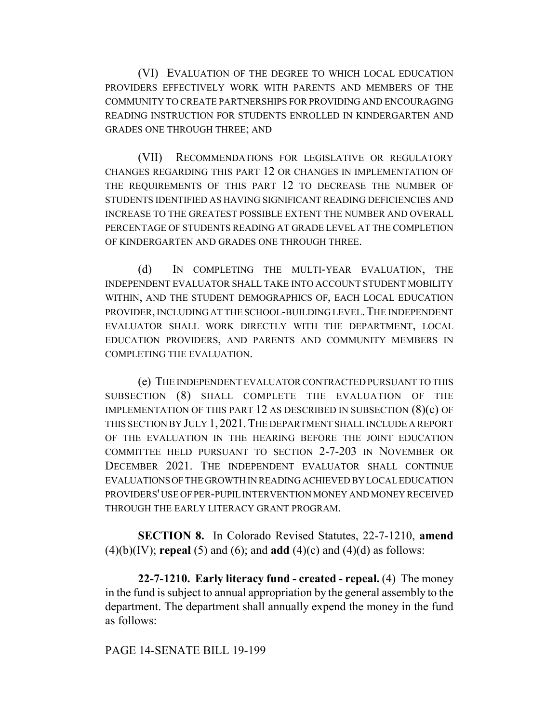(VI) EVALUATION OF THE DEGREE TO WHICH LOCAL EDUCATION PROVIDERS EFFECTIVELY WORK WITH PARENTS AND MEMBERS OF THE COMMUNITY TO CREATE PARTNERSHIPS FOR PROVIDING AND ENCOURAGING READING INSTRUCTION FOR STUDENTS ENROLLED IN KINDERGARTEN AND GRADES ONE THROUGH THREE; AND

(VII) RECOMMENDATIONS FOR LEGISLATIVE OR REGULATORY CHANGES REGARDING THIS PART 12 OR CHANGES IN IMPLEMENTATION OF THE REQUIREMENTS OF THIS PART 12 TO DECREASE THE NUMBER OF STUDENTS IDENTIFIED AS HAVING SIGNIFICANT READING DEFICIENCIES AND INCREASE TO THE GREATEST POSSIBLE EXTENT THE NUMBER AND OVERALL PERCENTAGE OF STUDENTS READING AT GRADE LEVEL AT THE COMPLETION OF KINDERGARTEN AND GRADES ONE THROUGH THREE.

(d) IN COMPLETING THE MULTI-YEAR EVALUATION, THE INDEPENDENT EVALUATOR SHALL TAKE INTO ACCOUNT STUDENT MOBILITY WITHIN, AND THE STUDENT DEMOGRAPHICS OF, EACH LOCAL EDUCATION PROVIDER, INCLUDING AT THE SCHOOL-BUILDING LEVEL. THE INDEPENDENT EVALUATOR SHALL WORK DIRECTLY WITH THE DEPARTMENT, LOCAL EDUCATION PROVIDERS, AND PARENTS AND COMMUNITY MEMBERS IN COMPLETING THE EVALUATION.

(e) THE INDEPENDENT EVALUATOR CONTRACTED PURSUANT TO THIS SUBSECTION (8) SHALL COMPLETE THE EVALUATION OF THE IMPLEMENTATION OF THIS PART 12 AS DESCRIBED IN SUBSECTION (8)(c) OF THIS SECTION BY JULY 1, 2021.THE DEPARTMENT SHALL INCLUDE A REPORT OF THE EVALUATION IN THE HEARING BEFORE THE JOINT EDUCATION COMMITTEE HELD PURSUANT TO SECTION 2-7-203 IN NOVEMBER OR DECEMBER 2021. THE INDEPENDENT EVALUATOR SHALL CONTINUE EVALUATIONS OF THE GROWTH IN READING ACHIEVED BY LOCAL EDUCATION PROVIDERS' USE OF PER-PUPIL INTERVENTION MONEY AND MONEY RECEIVED THROUGH THE EARLY LITERACY GRANT PROGRAM.

**SECTION 8.** In Colorado Revised Statutes, 22-7-1210, **amend** (4)(b)(IV); **repeal** (5) and (6); and **add** (4)(c) and (4)(d) as follows:

**22-7-1210. Early literacy fund - created - repeal.** (4) The money in the fund is subject to annual appropriation by the general assembly to the department. The department shall annually expend the money in the fund as follows:

PAGE 14-SENATE BILL 19-199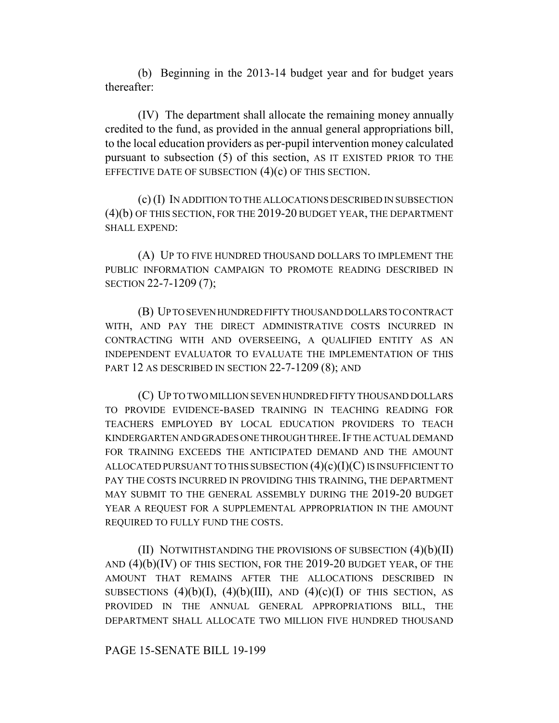(b) Beginning in the 2013-14 budget year and for budget years thereafter:

(IV) The department shall allocate the remaining money annually credited to the fund, as provided in the annual general appropriations bill, to the local education providers as per-pupil intervention money calculated pursuant to subsection (5) of this section, AS IT EXISTED PRIOR TO THE EFFECTIVE DATE OF SUBSECTION  $(4)(c)$  OF THIS SECTION.

(c) (I) IN ADDITION TO THE ALLOCATIONS DESCRIBED IN SUBSECTION (4)(b) OF THIS SECTION, FOR THE 2019-20 BUDGET YEAR, THE DEPARTMENT SHALL EXPEND:

(A) UP TO FIVE HUNDRED THOUSAND DOLLARS TO IMPLEMENT THE PUBLIC INFORMATION CAMPAIGN TO PROMOTE READING DESCRIBED IN SECTION 22-7-1209 (7);

(B) UP TO SEVEN HUNDRED FIFTY THOUSAND DOLLARS TO CONTRACT WITH, AND PAY THE DIRECT ADMINISTRATIVE COSTS INCURRED IN CONTRACTING WITH AND OVERSEEING, A QUALIFIED ENTITY AS AN INDEPENDENT EVALUATOR TO EVALUATE THE IMPLEMENTATION OF THIS PART 12 AS DESCRIBED IN SECTION 22-7-1209 (8); AND

(C) UP TO TWO MILLION SEVEN HUNDRED FIFTY THOUSAND DOLLARS TO PROVIDE EVIDENCE-BASED TRAINING IN TEACHING READING FOR TEACHERS EMPLOYED BY LOCAL EDUCATION PROVIDERS TO TEACH KINDERGARTEN AND GRADES ONE THROUGH THREE. IF THE ACTUAL DEMAND FOR TRAINING EXCEEDS THE ANTICIPATED DEMAND AND THE AMOUNT ALLOCATED PURSUANT TO THIS SUBSECTION  $(4)(c)(I)(C)$  IS INSUFFICIENT TO PAY THE COSTS INCURRED IN PROVIDING THIS TRAINING, THE DEPARTMENT MAY SUBMIT TO THE GENERAL ASSEMBLY DURING THE 2019-20 BUDGET YEAR A REQUEST FOR A SUPPLEMENTAL APPROPRIATION IN THE AMOUNT REQUIRED TO FULLY FUND THE COSTS.

(II) NOTWITHSTANDING THE PROVISIONS OF SUBSECTION  $(4)(b)(II)$ AND (4)(b)(IV) OF THIS SECTION, FOR THE 2019-20 BUDGET YEAR, OF THE AMOUNT THAT REMAINS AFTER THE ALLOCATIONS DESCRIBED IN SUBSECTIONS  $(4)(b)(I)$ ,  $(4)(b)(III)$ , AND  $(4)(c)(I)$  OF THIS SECTION, AS PROVIDED IN THE ANNUAL GENERAL APPROPRIATIONS BILL, THE DEPARTMENT SHALL ALLOCATE TWO MILLION FIVE HUNDRED THOUSAND

PAGE 15-SENATE BILL 19-199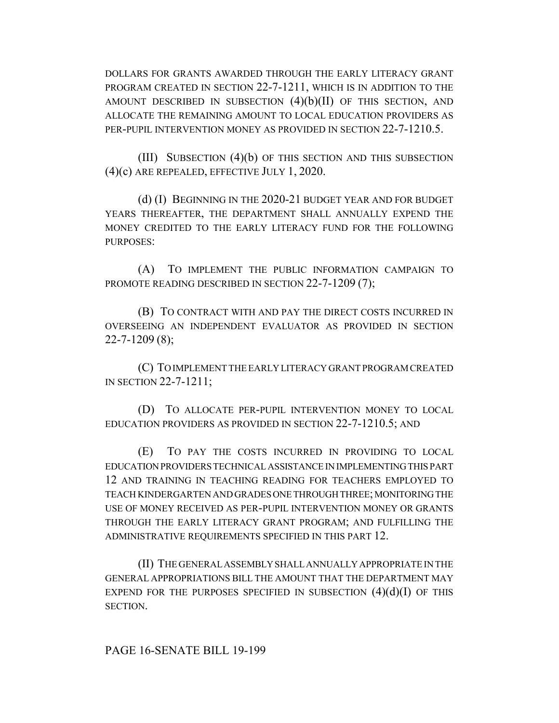DOLLARS FOR GRANTS AWARDED THROUGH THE EARLY LITERACY GRANT PROGRAM CREATED IN SECTION 22-7-1211, WHICH IS IN ADDITION TO THE AMOUNT DESCRIBED IN SUBSECTION  $(4)(b)(II)$  OF THIS SECTION, AND ALLOCATE THE REMAINING AMOUNT TO LOCAL EDUCATION PROVIDERS AS PER-PUPIL INTERVENTION MONEY AS PROVIDED IN SECTION 22-7-1210.5.

(III) SUBSECTION (4)(b) OF THIS SECTION AND THIS SUBSECTION (4)(c) ARE REPEALED, EFFECTIVE JULY 1, 2020.

(d) (I) BEGINNING IN THE 2020-21 BUDGET YEAR AND FOR BUDGET YEARS THEREAFTER, THE DEPARTMENT SHALL ANNUALLY EXPEND THE MONEY CREDITED TO THE EARLY LITERACY FUND FOR THE FOLLOWING PURPOSES:

(A) TO IMPLEMENT THE PUBLIC INFORMATION CAMPAIGN TO PROMOTE READING DESCRIBED IN SECTION 22-7-1209 (7);

(B) TO CONTRACT WITH AND PAY THE DIRECT COSTS INCURRED IN OVERSEEING AN INDEPENDENT EVALUATOR AS PROVIDED IN SECTION 22-7-1209 (8);

(C) TO IMPLEMENT THE EARLY LITERACY GRANT PROGRAM CREATED IN SECTION 22-7-1211;

(D) TO ALLOCATE PER-PUPIL INTERVENTION MONEY TO LOCAL EDUCATION PROVIDERS AS PROVIDED IN SECTION 22-7-1210.5; AND

(E) TO PAY THE COSTS INCURRED IN PROVIDING TO LOCAL EDUCATION PROVIDERS TECHNICAL ASSISTANCE IN IMPLEMENTING THIS PART 12 AND TRAINING IN TEACHING READING FOR TEACHERS EMPLOYED TO TEACH KINDERGARTEN AND GRADES ONE THROUGH THREE; MONITORING THE USE OF MONEY RECEIVED AS PER-PUPIL INTERVENTION MONEY OR GRANTS THROUGH THE EARLY LITERACY GRANT PROGRAM; AND FULFILLING THE ADMINISTRATIVE REQUIREMENTS SPECIFIED IN THIS PART 12.

(II) THE GENERAL ASSEMBLY SHALL ANNUALLY APPROPRIATE IN THE GENERAL APPROPRIATIONS BILL THE AMOUNT THAT THE DEPARTMENT MAY EXPEND FOR THE PURPOSES SPECIFIED IN SUBSECTION  $(4)(d)(I)$  OF THIS SECTION.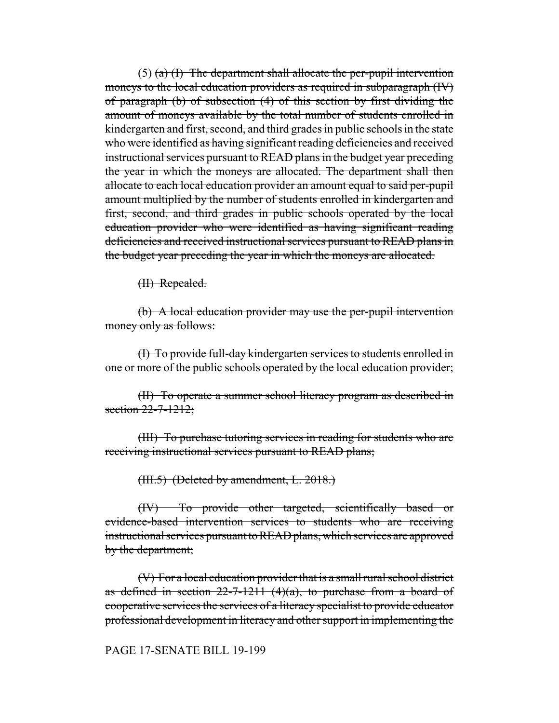$(5)$  (a) (I) The department shall allocate the per-pupil intervention moneys to the local education providers as required in subparagraph (IV) of paragraph (b) of subsection (4) of this section by first dividing the amount of moneys available by the total number of students enrolled in kindergarten and first, second, and third grades in public schools in the state who were identified as having significant reading deficiencies and received instructional services pursuant to READ plans in the budget year preceding the year in which the moneys are allocated. The department shall then allocate to each local education provider an amount equal to said per-pupil amount multiplied by the number of students enrolled in kindergarten and first, second, and third grades in public schools operated by the local education provider who were identified as having significant reading deficiencies and received instructional services pursuant to READ plans in the budget year preceding the year in which the moneys are allocated.

(II) Repealed.

(b) A local education provider may use the per-pupil intervention money only as follows:

(I) To provide full-day kindergarten services to students enrolled in one or more of the public schools operated by the local education provider;

(II) To operate a summer school literacy program as described in section 22-7-1212;

(III) To purchase tutoring services in reading for students who are receiving instructional services pursuant to READ plans;

(III.5) (Deleted by amendment, L. 2018.)

(IV) To provide other targeted, scientifically based or evidence-based intervention services to students who are receiving instructional services pursuant to READ plans, which services are approved by the department;

(V) For a local education provider that is a small rural school district as defined in section  $22-7-1211$  (4)(a), to purchase from a board of cooperative services the services of a literacy specialist to provide educator professional development in literacy and other support in implementing the

### PAGE 17-SENATE BILL 19-199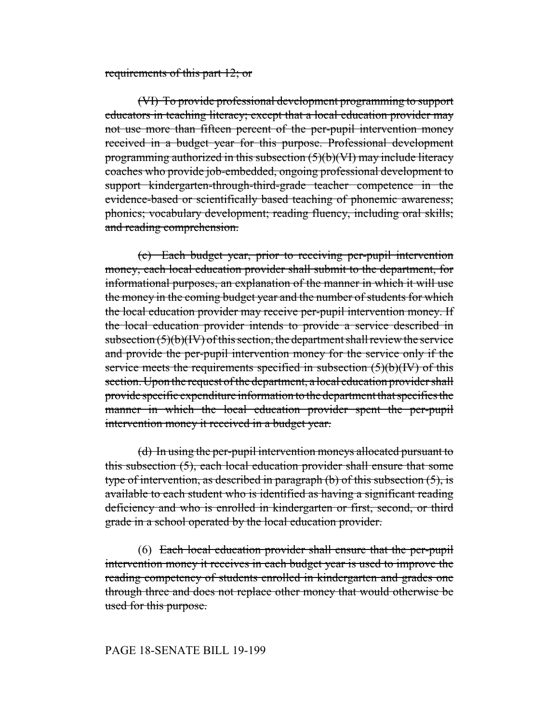#### requirements of this part 12; or

(VI) To provide professional development programming to support educators in teaching literacy; except that a local education provider may not use more than fifteen percent of the per-pupil intervention money received in a budget year for this purpose. Professional development programming authorized in this subsection  $(5)(b)(V1)$  may include literacy coaches who provide job-embedded, ongoing professional development to support kindergarten-through-third-grade teacher competence in the evidence-based or scientifically based teaching of phonemic awareness; phonics; vocabulary development; reading fluency, including oral skills; and reading comprehension.

(c) Each budget year, prior to receiving per-pupil intervention money, each local education provider shall submit to the department, for informational purposes, an explanation of the manner in which it will use the money in the coming budget year and the number of students for which the local education provider may receive per-pupil intervention money. If the local education provider intends to provide a service described in subsection  $(5)(b)(IV)$  of this section, the department shall review the service and provide the per-pupil intervention money for the service only if the service meets the requirements specified in subsection (5)(b)(IV) of this section. Upon the request of the department, a local education provider shall provide specific expenditure information to the department that specifies the manner in which the local education provider spent the per-pupil intervention money it received in a budget year.

(d) In using the per-pupil intervention moneys allocated pursuant to this subsection (5), each local education provider shall ensure that some type of intervention, as described in paragraph (b) of this subsection (5), is available to each student who is identified as having a significant reading deficiency and who is enrolled in kindergarten or first, second, or third grade in a school operated by the local education provider.

(6) Each local education provider shall ensure that the per-pupil intervention money it receives in each budget year is used to improve the reading competency of students enrolled in kindergarten and grades one through three and does not replace other money that would otherwise be used for this purpose.

#### PAGE 18-SENATE BILL 19-199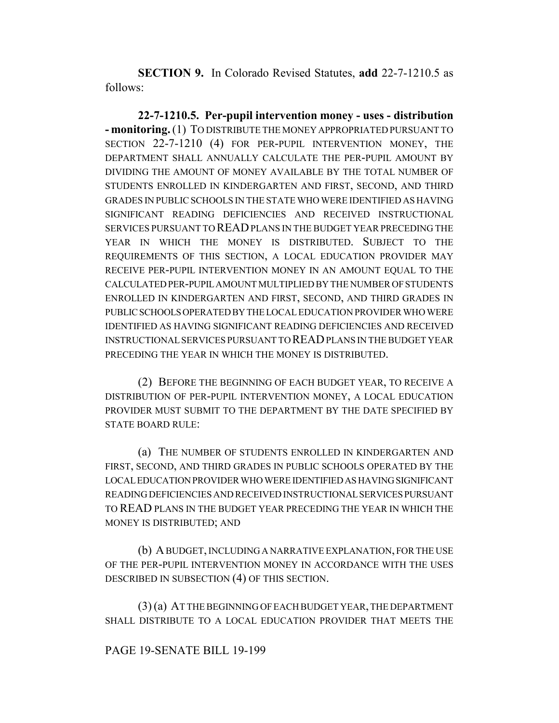**SECTION 9.** In Colorado Revised Statutes, **add** 22-7-1210.5 as follows:

**22-7-1210.5. Per-pupil intervention money - uses - distribution - monitoring.** (1) TO DISTRIBUTE THE MONEY APPROPRIATED PURSUANT TO SECTION 22-7-1210 (4) FOR PER-PUPIL INTERVENTION MONEY, THE DEPARTMENT SHALL ANNUALLY CALCULATE THE PER-PUPIL AMOUNT BY DIVIDING THE AMOUNT OF MONEY AVAILABLE BY THE TOTAL NUMBER OF STUDENTS ENROLLED IN KINDERGARTEN AND FIRST, SECOND, AND THIRD GRADES IN PUBLIC SCHOOLS IN THE STATE WHO WERE IDENTIFIED AS HAVING SIGNIFICANT READING DEFICIENCIES AND RECEIVED INSTRUCTIONAL SERVICES PURSUANT TO READ PLANS IN THE BUDGET YEAR PRECEDING THE YEAR IN WHICH THE MONEY IS DISTRIBUTED. SUBJECT TO THE REQUIREMENTS OF THIS SECTION, A LOCAL EDUCATION PROVIDER MAY RECEIVE PER-PUPIL INTERVENTION MONEY IN AN AMOUNT EQUAL TO THE CALCULATED PER-PUPIL AMOUNT MULTIPLIED BY THE NUMBER OF STUDENTS ENROLLED IN KINDERGARTEN AND FIRST, SECOND, AND THIRD GRADES IN PUBLIC SCHOOLS OPERATED BY THE LOCAL EDUCATION PROVIDER WHO WERE IDENTIFIED AS HAVING SIGNIFICANT READING DEFICIENCIES AND RECEIVED INSTRUCTIONAL SERVICES PURSUANT TO READ PLANS IN THE BUDGET YEAR PRECEDING THE YEAR IN WHICH THE MONEY IS DISTRIBUTED.

(2) BEFORE THE BEGINNING OF EACH BUDGET YEAR, TO RECEIVE A DISTRIBUTION OF PER-PUPIL INTERVENTION MONEY, A LOCAL EDUCATION PROVIDER MUST SUBMIT TO THE DEPARTMENT BY THE DATE SPECIFIED BY STATE BOARD RULE:

(a) THE NUMBER OF STUDENTS ENROLLED IN KINDERGARTEN AND FIRST, SECOND, AND THIRD GRADES IN PUBLIC SCHOOLS OPERATED BY THE LOCAL EDUCATION PROVIDER WHO WERE IDENTIFIED AS HAVING SIGNIFICANT READING DEFICIENCIES AND RECEIVED INSTRUCTIONAL SERVICES PURSUANT TO READ PLANS IN THE BUDGET YEAR PRECEDING THE YEAR IN WHICH THE MONEY IS DISTRIBUTED; AND

(b) A BUDGET, INCLUDING A NARRATIVE EXPLANATION, FOR THE USE OF THE PER-PUPIL INTERVENTION MONEY IN ACCORDANCE WITH THE USES DESCRIBED IN SUBSECTION (4) OF THIS SECTION.

(3) (a) AT THE BEGINNING OF EACH BUDGET YEAR, THE DEPARTMENT SHALL DISTRIBUTE TO A LOCAL EDUCATION PROVIDER THAT MEETS THE

#### PAGE 19-SENATE BILL 19-199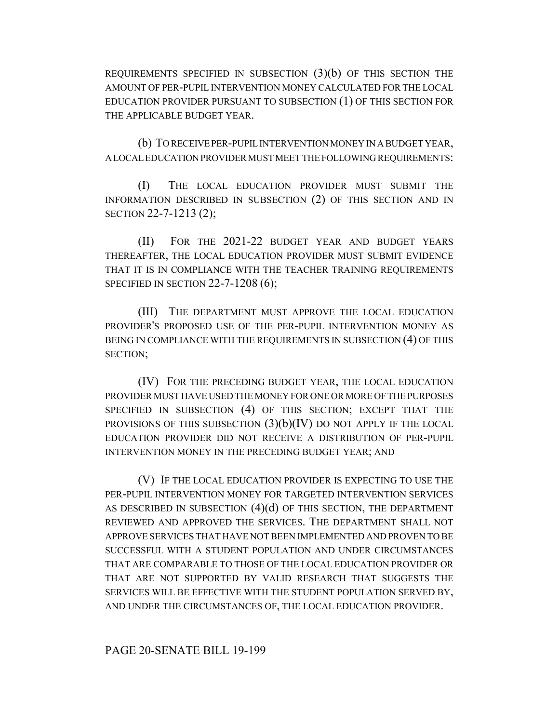REQUIREMENTS SPECIFIED IN SUBSECTION  $(3)(b)$  OF THIS SECTION THE AMOUNT OF PER-PUPIL INTERVENTION MONEY CALCULATED FOR THE LOCAL EDUCATION PROVIDER PURSUANT TO SUBSECTION (1) OF THIS SECTION FOR THE APPLICABLE BUDGET YEAR.

(b) TO RECEIVE PER-PUPIL INTERVENTION MONEY IN A BUDGET YEAR, A LOCAL EDUCATION PROVIDER MUST MEET THE FOLLOWING REQUIREMENTS:

(I) THE LOCAL EDUCATION PROVIDER MUST SUBMIT THE INFORMATION DESCRIBED IN SUBSECTION (2) OF THIS SECTION AND IN SECTION 22-7-1213 (2);

(II) FOR THE 2021-22 BUDGET YEAR AND BUDGET YEARS THEREAFTER, THE LOCAL EDUCATION PROVIDER MUST SUBMIT EVIDENCE THAT IT IS IN COMPLIANCE WITH THE TEACHER TRAINING REQUIREMENTS SPECIFIED IN SECTION 22-7-1208 (6);

(III) THE DEPARTMENT MUST APPROVE THE LOCAL EDUCATION PROVIDER'S PROPOSED USE OF THE PER-PUPIL INTERVENTION MONEY AS BEING IN COMPLIANCE WITH THE REQUIREMENTS IN SUBSECTION (4) OF THIS SECTION;

(IV) FOR THE PRECEDING BUDGET YEAR, THE LOCAL EDUCATION PROVIDER MUST HAVE USED THE MONEY FOR ONE OR MORE OF THE PURPOSES SPECIFIED IN SUBSECTION (4) OF THIS SECTION; EXCEPT THAT THE PROVISIONS OF THIS SUBSECTION  $(3)(b)(IV)$  DO NOT APPLY IF THE LOCAL EDUCATION PROVIDER DID NOT RECEIVE A DISTRIBUTION OF PER-PUPIL INTERVENTION MONEY IN THE PRECEDING BUDGET YEAR; AND

(V) IF THE LOCAL EDUCATION PROVIDER IS EXPECTING TO USE THE PER-PUPIL INTERVENTION MONEY FOR TARGETED INTERVENTION SERVICES AS DESCRIBED IN SUBSECTION  $(4)(d)$  OF THIS SECTION, THE DEPARTMENT REVIEWED AND APPROVED THE SERVICES. THE DEPARTMENT SHALL NOT APPROVE SERVICES THAT HAVE NOT BEEN IMPLEMENTED AND PROVEN TO BE SUCCESSFUL WITH A STUDENT POPULATION AND UNDER CIRCUMSTANCES THAT ARE COMPARABLE TO THOSE OF THE LOCAL EDUCATION PROVIDER OR THAT ARE NOT SUPPORTED BY VALID RESEARCH THAT SUGGESTS THE SERVICES WILL BE EFFECTIVE WITH THE STUDENT POPULATION SERVED BY, AND UNDER THE CIRCUMSTANCES OF, THE LOCAL EDUCATION PROVIDER.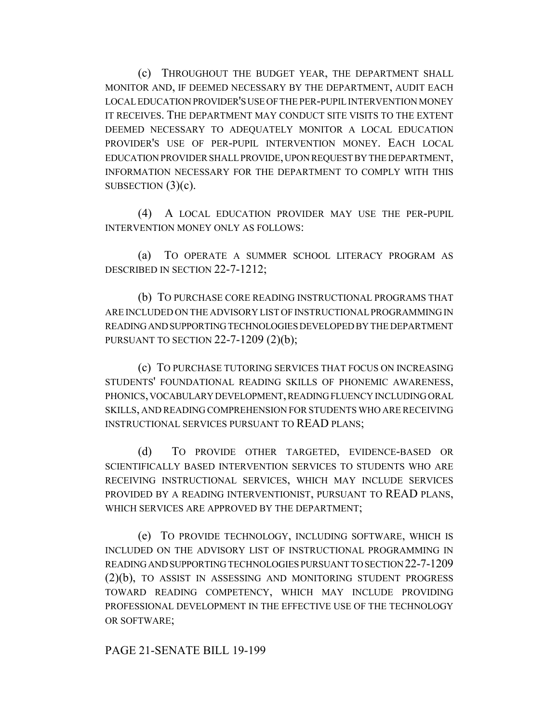(c) THROUGHOUT THE BUDGET YEAR, THE DEPARTMENT SHALL MONITOR AND, IF DEEMED NECESSARY BY THE DEPARTMENT, AUDIT EACH LOCAL EDUCATION PROVIDER'S USE OF THE PER-PUPIL INTERVENTION MONEY IT RECEIVES. THE DEPARTMENT MAY CONDUCT SITE VISITS TO THE EXTENT DEEMED NECESSARY TO ADEQUATELY MONITOR A LOCAL EDUCATION PROVIDER'S USE OF PER-PUPIL INTERVENTION MONEY. EACH LOCAL EDUCATION PROVIDER SHALL PROVIDE, UPON REQUEST BY THE DEPARTMENT, INFORMATION NECESSARY FOR THE DEPARTMENT TO COMPLY WITH THIS SUBSECTION  $(3)(c)$ .

(4) A LOCAL EDUCATION PROVIDER MAY USE THE PER-PUPIL INTERVENTION MONEY ONLY AS FOLLOWS:

(a) TO OPERATE A SUMMER SCHOOL LITERACY PROGRAM AS DESCRIBED IN SECTION 22-7-1212;

(b) TO PURCHASE CORE READING INSTRUCTIONAL PROGRAMS THAT ARE INCLUDED ON THE ADVISORY LIST OF INSTRUCTIONAL PROGRAMMING IN READING AND SUPPORTING TECHNOLOGIES DEVELOPED BY THE DEPARTMENT PURSUANT TO SECTION 22-7-1209 (2)(b);

(c) TO PURCHASE TUTORING SERVICES THAT FOCUS ON INCREASING STUDENTS' FOUNDATIONAL READING SKILLS OF PHONEMIC AWARENESS, PHONICS, VOCABULARY DEVELOPMENT, READING FLUENCY INCLUDING ORAL SKILLS, AND READING COMPREHENSION FOR STUDENTS WHO ARE RECEIVING INSTRUCTIONAL SERVICES PURSUANT TO READ PLANS;

(d) TO PROVIDE OTHER TARGETED, EVIDENCE-BASED OR SCIENTIFICALLY BASED INTERVENTION SERVICES TO STUDENTS WHO ARE RECEIVING INSTRUCTIONAL SERVICES, WHICH MAY INCLUDE SERVICES PROVIDED BY A READING INTERVENTIONIST, PURSUANT TO READ PLANS, WHICH SERVICES ARE APPROVED BY THE DEPARTMENT;

(e) TO PROVIDE TECHNOLOGY, INCLUDING SOFTWARE, WHICH IS INCLUDED ON THE ADVISORY LIST OF INSTRUCTIONAL PROGRAMMING IN READING AND SUPPORTING TECHNOLOGIES PURSUANT TO SECTION 22-7-1209 (2)(b), TO ASSIST IN ASSESSING AND MONITORING STUDENT PROGRESS TOWARD READING COMPETENCY, WHICH MAY INCLUDE PROVIDING PROFESSIONAL DEVELOPMENT IN THE EFFECTIVE USE OF THE TECHNOLOGY OR SOFTWARE;

PAGE 21-SENATE BILL 19-199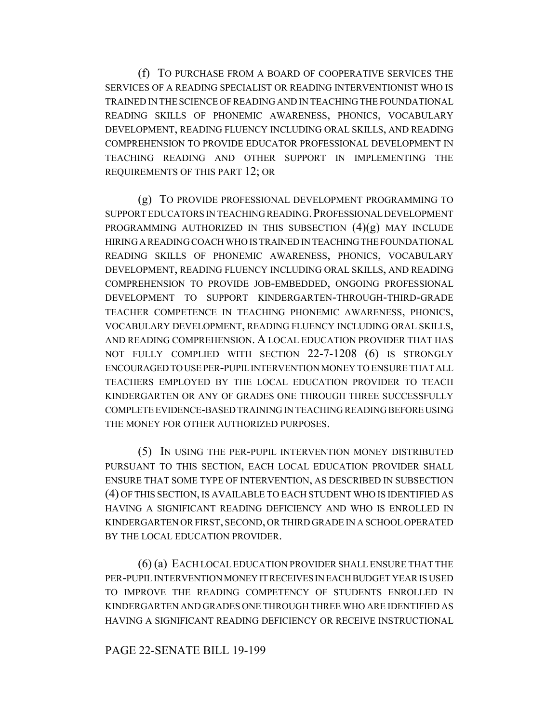(f) TO PURCHASE FROM A BOARD OF COOPERATIVE SERVICES THE SERVICES OF A READING SPECIALIST OR READING INTERVENTIONIST WHO IS TRAINED IN THE SCIENCE OF READING AND IN TEACHING THE FOUNDATIONAL READING SKILLS OF PHONEMIC AWARENESS, PHONICS, VOCABULARY DEVELOPMENT, READING FLUENCY INCLUDING ORAL SKILLS, AND READING COMPREHENSION TO PROVIDE EDUCATOR PROFESSIONAL DEVELOPMENT IN TEACHING READING AND OTHER SUPPORT IN IMPLEMENTING THE REQUIREMENTS OF THIS PART 12; OR

(g) TO PROVIDE PROFESSIONAL DEVELOPMENT PROGRAMMING TO SUPPORT EDUCATORS IN TEACHING READING.PROFESSIONAL DEVELOPMENT PROGRAMMING AUTHORIZED IN THIS SUBSECTION  $(4)(g)$  MAY INCLUDE HIRING A READING COACH WHO IS TRAINED IN TEACHING THE FOUNDATIONAL READING SKILLS OF PHONEMIC AWARENESS, PHONICS, VOCABULARY DEVELOPMENT, READING FLUENCY INCLUDING ORAL SKILLS, AND READING COMPREHENSION TO PROVIDE JOB-EMBEDDED, ONGOING PROFESSIONAL DEVELOPMENT TO SUPPORT KINDERGARTEN-THROUGH-THIRD-GRADE TEACHER COMPETENCE IN TEACHING PHONEMIC AWARENESS, PHONICS, VOCABULARY DEVELOPMENT, READING FLUENCY INCLUDING ORAL SKILLS, AND READING COMPREHENSION. A LOCAL EDUCATION PROVIDER THAT HAS NOT FULLY COMPLIED WITH SECTION 22-7-1208 (6) IS STRONGLY ENCOURAGED TO USE PER-PUPIL INTERVENTION MONEY TO ENSURE THAT ALL TEACHERS EMPLOYED BY THE LOCAL EDUCATION PROVIDER TO TEACH KINDERGARTEN OR ANY OF GRADES ONE THROUGH THREE SUCCESSFULLY COMPLETE EVIDENCE-BASED TRAINING IN TEACHING READING BEFORE USING THE MONEY FOR OTHER AUTHORIZED PURPOSES.

(5) IN USING THE PER-PUPIL INTERVENTION MONEY DISTRIBUTED PURSUANT TO THIS SECTION, EACH LOCAL EDUCATION PROVIDER SHALL ENSURE THAT SOME TYPE OF INTERVENTION, AS DESCRIBED IN SUBSECTION (4) OF THIS SECTION, IS AVAILABLE TO EACH STUDENT WHO IS IDENTIFIED AS HAVING A SIGNIFICANT READING DEFICIENCY AND WHO IS ENROLLED IN KINDERGARTEN OR FIRST, SECOND, OR THIRD GRADE IN A SCHOOL OPERATED BY THE LOCAL EDUCATION PROVIDER.

(6) (a) EACH LOCAL EDUCATION PROVIDER SHALL ENSURE THAT THE PER-PUPIL INTERVENTION MONEY IT RECEIVES IN EACH BUDGET YEAR IS USED TO IMPROVE THE READING COMPETENCY OF STUDENTS ENROLLED IN KINDERGARTEN AND GRADES ONE THROUGH THREE WHO ARE IDENTIFIED AS HAVING A SIGNIFICANT READING DEFICIENCY OR RECEIVE INSTRUCTIONAL

# PAGE 22-SENATE BILL 19-199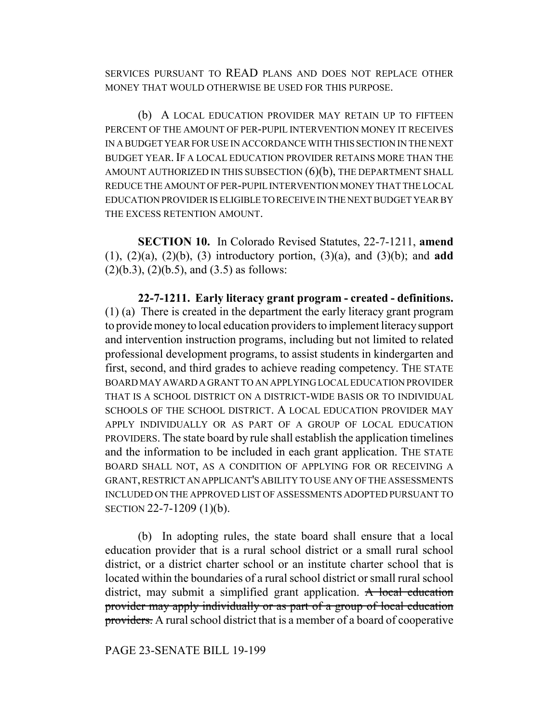SERVICES PURSUANT TO READ PLANS AND DOES NOT REPLACE OTHER MONEY THAT WOULD OTHERWISE BE USED FOR THIS PURPOSE.

(b) A LOCAL EDUCATION PROVIDER MAY RETAIN UP TO FIFTEEN PERCENT OF THE AMOUNT OF PER-PUPIL INTERVENTION MONEY IT RECEIVES IN A BUDGET YEAR FOR USE IN ACCORDANCE WITH THIS SECTION IN THE NEXT BUDGET YEAR. IF A LOCAL EDUCATION PROVIDER RETAINS MORE THAN THE AMOUNT AUTHORIZED IN THIS SUBSECTION  $(6)(b)$ , THE DEPARTMENT SHALL REDUCE THE AMOUNT OF PER-PUPIL INTERVENTION MONEY THAT THE LOCAL EDUCATION PROVIDER IS ELIGIBLE TO RECEIVE IN THE NEXT BUDGET YEAR BY THE EXCESS RETENTION AMOUNT.

**SECTION 10.** In Colorado Revised Statutes, 22-7-1211, **amend** (1), (2)(a), (2)(b), (3) introductory portion, (3)(a), and (3)(b); and **add**  $(2)(b.3), (2)(b.5),$  and  $(3.5)$  as follows:

**22-7-1211. Early literacy grant program - created - definitions.** (1) (a) There is created in the department the early literacy grant program to provide money to local education providers to implement literacy support and intervention instruction programs, including but not limited to related professional development programs, to assist students in kindergarten and first, second, and third grades to achieve reading competency. THE STATE BOARD MAY AWARD A GRANT TO AN APPLYING LOCAL EDUCATION PROVIDER THAT IS A SCHOOL DISTRICT ON A DISTRICT-WIDE BASIS OR TO INDIVIDUAL SCHOOLS OF THE SCHOOL DISTRICT. A LOCAL EDUCATION PROVIDER MAY APPLY INDIVIDUALLY OR AS PART OF A GROUP OF LOCAL EDUCATION PROVIDERS. The state board by rule shall establish the application timelines and the information to be included in each grant application. THE STATE BOARD SHALL NOT, AS A CONDITION OF APPLYING FOR OR RECEIVING A GRANT, RESTRICT AN APPLICANT'S ABILITY TO USE ANY OF THE ASSESSMENTS INCLUDED ON THE APPROVED LIST OF ASSESSMENTS ADOPTED PURSUANT TO SECTION 22-7-1209 (1)(b).

(b) In adopting rules, the state board shall ensure that a local education provider that is a rural school district or a small rural school district, or a district charter school or an institute charter school that is located within the boundaries of a rural school district or small rural school district, may submit a simplified grant application. A local education provider may apply individually or as part of a group of local education providers. A rural school district that is a member of a board of cooperative

PAGE 23-SENATE BILL 19-199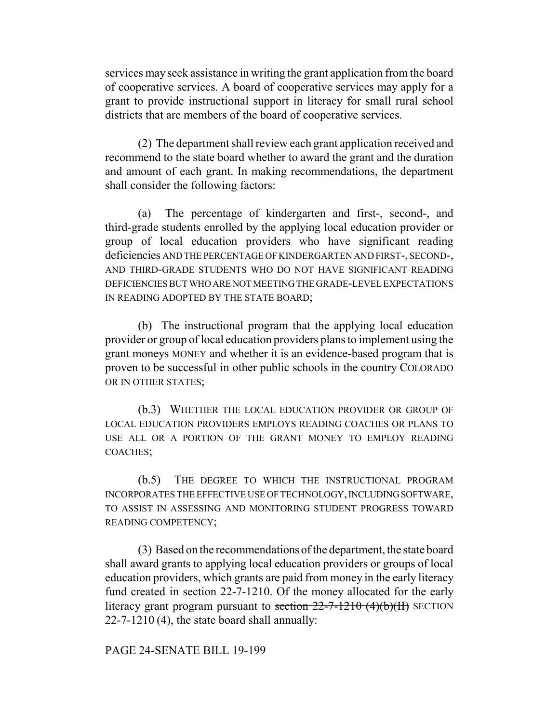services may seek assistance in writing the grant application from the board of cooperative services. A board of cooperative services may apply for a grant to provide instructional support in literacy for small rural school districts that are members of the board of cooperative services.

(2) The department shall review each grant application received and recommend to the state board whether to award the grant and the duration and amount of each grant. In making recommendations, the department shall consider the following factors:

(a) The percentage of kindergarten and first-, second-, and third-grade students enrolled by the applying local education provider or group of local education providers who have significant reading deficiencies AND THE PERCENTAGE OF KINDERGARTEN AND FIRST-, SECOND-, AND THIRD-GRADE STUDENTS WHO DO NOT HAVE SIGNIFICANT READING DEFICIENCIES BUT WHO ARE NOT MEETING THE GRADE-LEVEL EXPECTATIONS IN READING ADOPTED BY THE STATE BOARD;

(b) The instructional program that the applying local education provider or group of local education providers plans to implement using the grant moneys MONEY and whether it is an evidence-based program that is proven to be successful in other public schools in the country COLORADO OR IN OTHER STATES;

(b.3) WHETHER THE LOCAL EDUCATION PROVIDER OR GROUP OF LOCAL EDUCATION PROVIDERS EMPLOYS READING COACHES OR PLANS TO USE ALL OR A PORTION OF THE GRANT MONEY TO EMPLOY READING COACHES;

(b.5) THE DEGREE TO WHICH THE INSTRUCTIONAL PROGRAM INCORPORATES THE EFFECTIVE USE OF TECHNOLOGY, INCLUDING SOFTWARE, TO ASSIST IN ASSESSING AND MONITORING STUDENT PROGRESS TOWARD READING COMPETENCY;

(3) Based on the recommendations of the department, the state board shall award grants to applying local education providers or groups of local education providers, which grants are paid from money in the early literacy fund created in section 22-7-1210. Of the money allocated for the early literacy grant program pursuant to section  $22-7-1210$  (4)(b)(II) SECTION 22-7-1210 (4), the state board shall annually:

### PAGE 24-SENATE BILL 19-199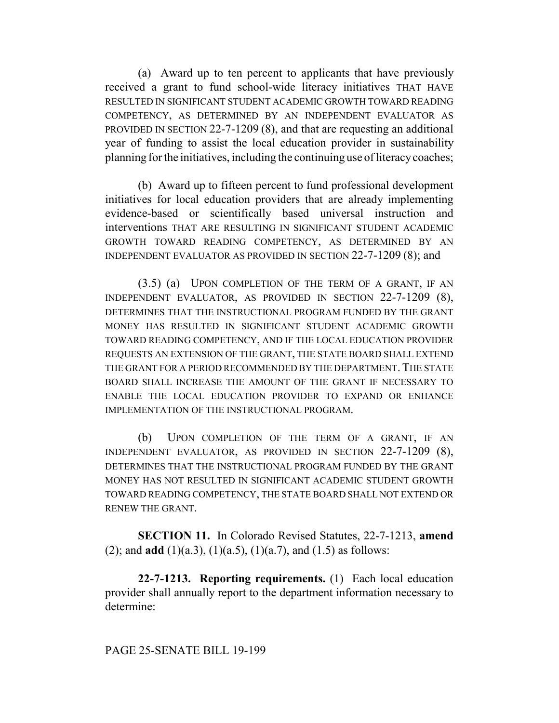(a) Award up to ten percent to applicants that have previously received a grant to fund school-wide literacy initiatives THAT HAVE RESULTED IN SIGNIFICANT STUDENT ACADEMIC GROWTH TOWARD READING COMPETENCY, AS DETERMINED BY AN INDEPENDENT EVALUATOR AS PROVIDED IN SECTION 22-7-1209 (8), and that are requesting an additional year of funding to assist the local education provider in sustainability planning for the initiatives, including the continuing use of literacy coaches;

(b) Award up to fifteen percent to fund professional development initiatives for local education providers that are already implementing evidence-based or scientifically based universal instruction and interventions THAT ARE RESULTING IN SIGNIFICANT STUDENT ACADEMIC GROWTH TOWARD READING COMPETENCY, AS DETERMINED BY AN INDEPENDENT EVALUATOR AS PROVIDED IN SECTION 22-7-1209 (8); and

(3.5) (a) UPON COMPLETION OF THE TERM OF A GRANT, IF AN INDEPENDENT EVALUATOR, AS PROVIDED IN SECTION 22-7-1209 (8), DETERMINES THAT THE INSTRUCTIONAL PROGRAM FUNDED BY THE GRANT MONEY HAS RESULTED IN SIGNIFICANT STUDENT ACADEMIC GROWTH TOWARD READING COMPETENCY, AND IF THE LOCAL EDUCATION PROVIDER REQUESTS AN EXTENSION OF THE GRANT, THE STATE BOARD SHALL EXTEND THE GRANT FOR A PERIOD RECOMMENDED BY THE DEPARTMENT. THE STATE BOARD SHALL INCREASE THE AMOUNT OF THE GRANT IF NECESSARY TO ENABLE THE LOCAL EDUCATION PROVIDER TO EXPAND OR ENHANCE IMPLEMENTATION OF THE INSTRUCTIONAL PROGRAM.

(b) UPON COMPLETION OF THE TERM OF A GRANT, IF AN INDEPENDENT EVALUATOR, AS PROVIDED IN SECTION 22-7-1209 (8), DETERMINES THAT THE INSTRUCTIONAL PROGRAM FUNDED BY THE GRANT MONEY HAS NOT RESULTED IN SIGNIFICANT ACADEMIC STUDENT GROWTH TOWARD READING COMPETENCY, THE STATE BOARD SHALL NOT EXTEND OR RENEW THE GRANT.

**SECTION 11.** In Colorado Revised Statutes, 22-7-1213, **amend** (2); and **add** (1)(a.3), (1)(a.5), (1)(a.7), and (1.5) as follows:

**22-7-1213. Reporting requirements.** (1) Each local education provider shall annually report to the department information necessary to determine: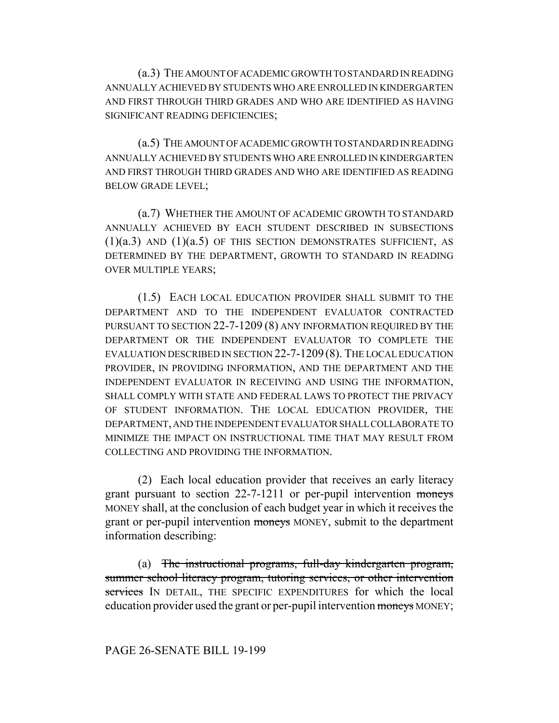(a.3) THE AMOUNT OF ACADEMIC GROWTH TO STANDARD IN READING ANNUALLY ACHIEVED BY STUDENTS WHO ARE ENROLLED IN KINDERGARTEN AND FIRST THROUGH THIRD GRADES AND WHO ARE IDENTIFIED AS HAVING SIGNIFICANT READING DEFICIENCIES;

(a.5) THE AMOUNT OF ACADEMIC GROWTH TO STANDARD IN READING ANNUALLY ACHIEVED BY STUDENTS WHO ARE ENROLLED IN KINDERGARTEN AND FIRST THROUGH THIRD GRADES AND WHO ARE IDENTIFIED AS READING BELOW GRADE LEVEL;

(a.7) WHETHER THE AMOUNT OF ACADEMIC GROWTH TO STANDARD ANNUALLY ACHIEVED BY EACH STUDENT DESCRIBED IN SUBSECTIONS  $(1)(a.3)$  AND  $(1)(a.5)$  OF THIS SECTION DEMONSTRATES SUFFICIENT, AS DETERMINED BY THE DEPARTMENT, GROWTH TO STANDARD IN READING OVER MULTIPLE YEARS;

(1.5) EACH LOCAL EDUCATION PROVIDER SHALL SUBMIT TO THE DEPARTMENT AND TO THE INDEPENDENT EVALUATOR CONTRACTED PURSUANT TO SECTION 22-7-1209 (8) ANY INFORMATION REQUIRED BY THE DEPARTMENT OR THE INDEPENDENT EVALUATOR TO COMPLETE THE EVALUATION DESCRIBED IN SECTION 22-7-1209 (8). THE LOCAL EDUCATION PROVIDER, IN PROVIDING INFORMATION, AND THE DEPARTMENT AND THE INDEPENDENT EVALUATOR IN RECEIVING AND USING THE INFORMATION, SHALL COMPLY WITH STATE AND FEDERAL LAWS TO PROTECT THE PRIVACY OF STUDENT INFORMATION. THE LOCAL EDUCATION PROVIDER, THE DEPARTMENT, AND THE INDEPENDENT EVALUATOR SHALL COLLABORATE TO MINIMIZE THE IMPACT ON INSTRUCTIONAL TIME THAT MAY RESULT FROM COLLECTING AND PROVIDING THE INFORMATION.

(2) Each local education provider that receives an early literacy grant pursuant to section 22-7-1211 or per-pupil intervention moneys MONEY shall, at the conclusion of each budget year in which it receives the grant or per-pupil intervention moneys MONEY, submit to the department information describing:

(a) The instructional programs, full-day kindergarten program, summer school literacy program, tutoring services, or other intervention services IN DETAIL, THE SPECIFIC EXPENDITURES for which the local education provider used the grant or per-pupil intervention moneys MONEY;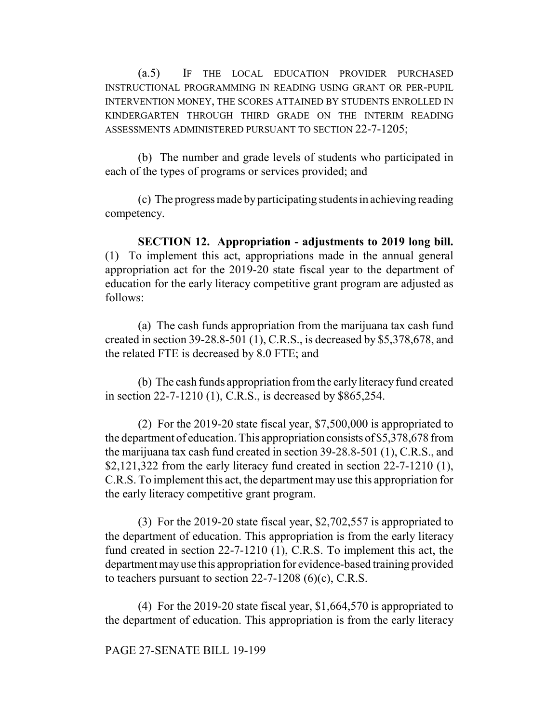(a.5) IF THE LOCAL EDUCATION PROVIDER PURCHASED INSTRUCTIONAL PROGRAMMING IN READING USING GRANT OR PER-PUPIL INTERVENTION MONEY, THE SCORES ATTAINED BY STUDENTS ENROLLED IN KINDERGARTEN THROUGH THIRD GRADE ON THE INTERIM READING ASSESSMENTS ADMINISTERED PURSUANT TO SECTION 22-7-1205;

(b) The number and grade levels of students who participated in each of the types of programs or services provided; and

(c) The progress made by participating students in achieving reading competency.

**SECTION 12. Appropriation - adjustments to 2019 long bill.** (1) To implement this act, appropriations made in the annual general appropriation act for the 2019-20 state fiscal year to the department of education for the early literacy competitive grant program are adjusted as follows:

(a) The cash funds appropriation from the marijuana tax cash fund created in section 39-28.8-501 (1), C.R.S., is decreased by \$5,378,678, and the related FTE is decreased by 8.0 FTE; and

(b) The cash funds appropriation from the early literacy fund created in section 22-7-1210 (1), C.R.S., is decreased by \$865,254.

(2) For the 2019-20 state fiscal year, \$7,500,000 is appropriated to the department of education. This appropriation consists of \$5,378,678 from the marijuana tax cash fund created in section 39-28.8-501 (1), C.R.S., and \$2,121,322 from the early literacy fund created in section 22-7-1210 (1), C.R.S. To implement this act, the department may use this appropriation for the early literacy competitive grant program.

(3) For the 2019-20 state fiscal year, \$2,702,557 is appropriated to the department of education. This appropriation is from the early literacy fund created in section 22-7-1210 (1), C.R.S. To implement this act, the department may use this appropriation for evidence-based training provided to teachers pursuant to section  $22-7-1208$  (6)(c), C.R.S.

(4) For the 2019-20 state fiscal year, \$1,664,570 is appropriated to the department of education. This appropriation is from the early literacy

PAGE 27-SENATE BILL 19-199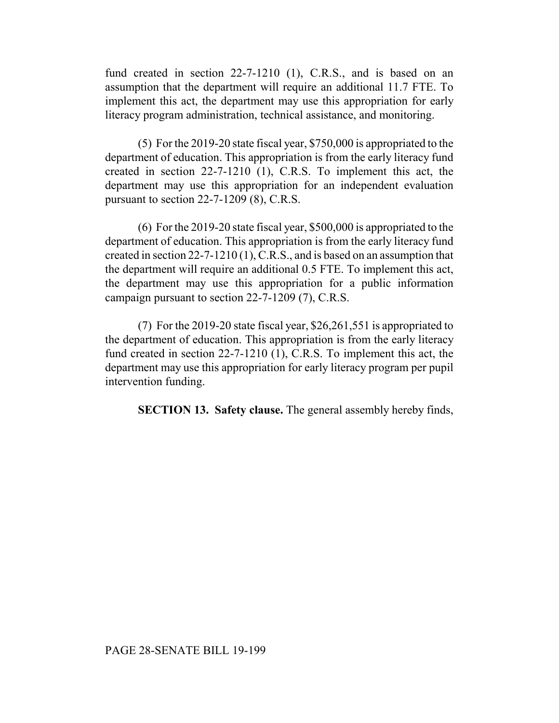fund created in section 22-7-1210 (1), C.R.S., and is based on an assumption that the department will require an additional 11.7 FTE. To implement this act, the department may use this appropriation for early literacy program administration, technical assistance, and monitoring.

(5) For the 2019-20 state fiscal year, \$750,000 is appropriated to the department of education. This appropriation is from the early literacy fund created in section 22-7-1210 (1), C.R.S. To implement this act, the department may use this appropriation for an independent evaluation pursuant to section 22-7-1209 (8), C.R.S.

(6) For the 2019-20 state fiscal year, \$500,000 is appropriated to the department of education. This appropriation is from the early literacy fund created in section 22-7-1210 (1), C.R.S., and is based on an assumption that the department will require an additional 0.5 FTE. To implement this act, the department may use this appropriation for a public information campaign pursuant to section 22-7-1209 (7), C.R.S.

(7) For the 2019-20 state fiscal year, \$26,261,551 is appropriated to the department of education. This appropriation is from the early literacy fund created in section 22-7-1210 (1), C.R.S. To implement this act, the department may use this appropriation for early literacy program per pupil intervention funding.

**SECTION 13. Safety clause.** The general assembly hereby finds,